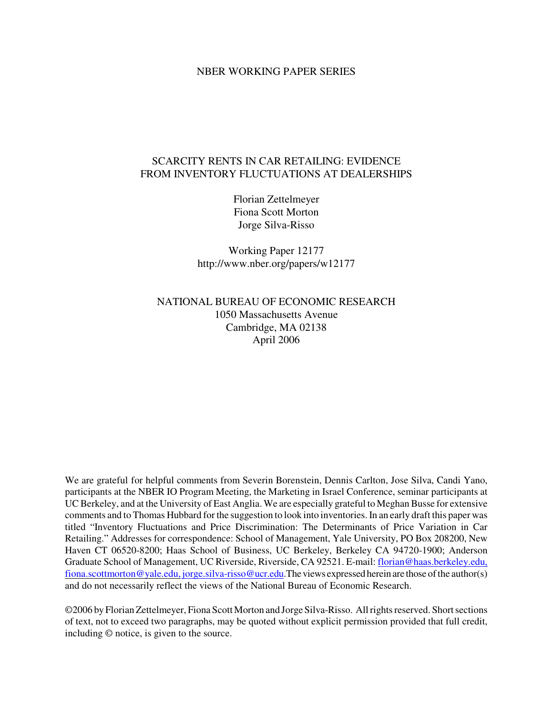#### NBER WORKING PAPER SERIES

## SCARCITY RENTS IN CAR RETAILING: EVIDENCE FROM INVENTORY FLUCTUATIONS AT DEALERSHIPS

Florian Zettelmeyer Fiona Scott Morton Jorge Silva-Risso

Working Paper 12177 http://www.nber.org/papers/w12177

NATIONAL BUREAU OF ECONOMIC RESEARCH 1050 Massachusetts Avenue Cambridge, MA 02138 April 2006

We are grateful for helpful comments from Severin Borenstein, Dennis Carlton, Jose Silva, Candi Yano, participants at the NBER IO Program Meeting, the Marketing in Israel Conference, seminar participants at UC Berkeley, and at the University of East Anglia. We are especially grateful to Meghan Busse for extensive comments and to Thomas Hubbard for the suggestion to look into inventories.In an early draft this paper was titled "Inventory Fluctuations and Price Discrimination: The Determinants of Price Variation in Car Retailing." Addresses for correspondence: School of Management, Yale University, PO Box 208200, New Haven CT 06520-8200; Haas School of Business, UC Berkeley, Berkeley CA 94720-1900; Anderson Graduate School of Management, UC Riverside, Riverside, CA 92521. E-mail: florian@haas.berkeley.edu, fiona.scottmorton@yale.edu, jorge.silva-risso@ucr.edu.The views expressed herein are those of the author(s) and do not necessarily reflect the views of the National Bureau of Economic Research.

©2006 by Florian Zettelmeyer, Fiona Scott Morton and Jorge Silva-Risso. All rights reserved. Short sections of text, not to exceed two paragraphs, may be quoted without explicit permission provided that full credit, including © notice, is given to the source.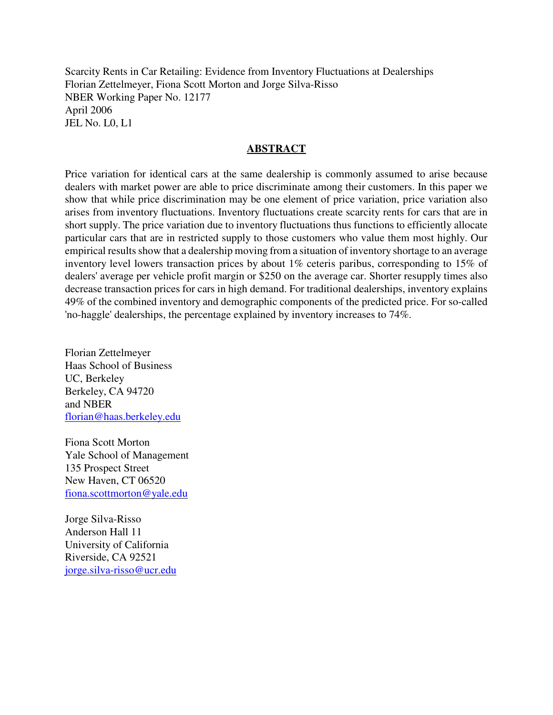Scarcity Rents in Car Retailing: Evidence from Inventory Fluctuations at Dealerships Florian Zettelmeyer, Fiona Scott Morton and Jorge Silva-Risso NBER Working Paper No. 12177 April 2006 JEL No. L0, L1

## **ABSTRACT**

Price variation for identical cars at the same dealership is commonly assumed to arise because dealers with market power are able to price discriminate among their customers. In this paper we show that while price discrimination may be one element of price variation, price variation also arises from inventory fluctuations. Inventory fluctuations create scarcity rents for cars that are in short supply. The price variation due to inventory fluctuations thus functions to efficiently allocate particular cars that are in restricted supply to those customers who value them most highly. Our empirical results show that a dealership moving from a situation of inventory shortage to an average inventory level lowers transaction prices by about 1% ceteris paribus, corresponding to 15% of dealers' average per vehicle profit margin or \$250 on the average car. Shorter resupply times also decrease transaction prices for cars in high demand. For traditional dealerships, inventory explains 49% of the combined inventory and demographic components of the predicted price. For so-called 'no-haggle' dealerships, the percentage explained by inventory increases to 74%.

Florian Zettelmeyer Haas School of Business UC, Berkeley Berkeley, CA 94720 and NBER florian@haas.berkeley.edu

Fiona Scott Morton Yale School of Management 135 Prospect Street New Haven, CT 06520 fiona.scottmorton@yale.edu

Jorge Silva-Risso Anderson Hall 11 University of California Riverside, CA 92521 jorge.silva-risso@ucr.edu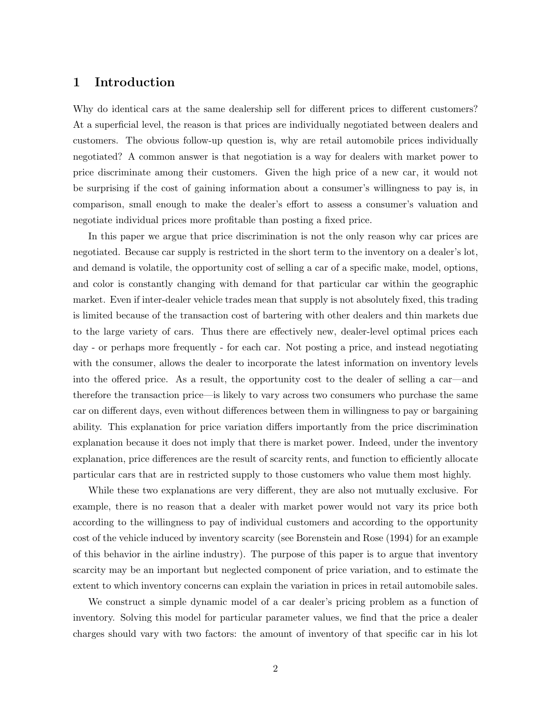## 1 Introduction

Why do identical cars at the same dealership sell for different prices to different customers? At a superficial level, the reason is that prices are individually negotiated between dealers and customers. The obvious follow-up question is, why are retail automobile prices individually negotiated? A common answer is that negotiation is a way for dealers with market power to price discriminate among their customers. Given the high price of a new car, it would not be surprising if the cost of gaining information about a consumer's willingness to pay is, in comparison, small enough to make the dealer's effort to assess a consumer's valuation and negotiate individual prices more profitable than posting a fixed price.

In this paper we argue that price discrimination is not the only reason why car prices are negotiated. Because car supply is restricted in the short term to the inventory on a dealer's lot, and demand is volatile, the opportunity cost of selling a car of a specific make, model, options, and color is constantly changing with demand for that particular car within the geographic market. Even if inter-dealer vehicle trades mean that supply is not absolutely fixed, this trading is limited because of the transaction cost of bartering with other dealers and thin markets due to the large variety of cars. Thus there are effectively new, dealer-level optimal prices each day - or perhaps more frequently - for each car. Not posting a price, and instead negotiating with the consumer, allows the dealer to incorporate the latest information on inventory levels into the offered price. As a result, the opportunity cost to the dealer of selling a car—and therefore the transaction price—is likely to vary across two consumers who purchase the same car on different days, even without differences between them in willingness to pay or bargaining ability. This explanation for price variation differs importantly from the price discrimination explanation because it does not imply that there is market power. Indeed, under the inventory explanation, price differences are the result of scarcity rents, and function to efficiently allocate particular cars that are in restricted supply to those customers who value them most highly.

While these two explanations are very different, they are also not mutually exclusive. For example, there is no reason that a dealer with market power would not vary its price both according to the willingness to pay of individual customers and according to the opportunity cost of the vehicle induced by inventory scarcity (see Borenstein and Rose (1994) for an example of this behavior in the airline industry). The purpose of this paper is to argue that inventory scarcity may be an important but neglected component of price variation, and to estimate the extent to which inventory concerns can explain the variation in prices in retail automobile sales.

We construct a simple dynamic model of a car dealer's pricing problem as a function of inventory. Solving this model for particular parameter values, we find that the price a dealer charges should vary with two factors: the amount of inventory of that specific car in his lot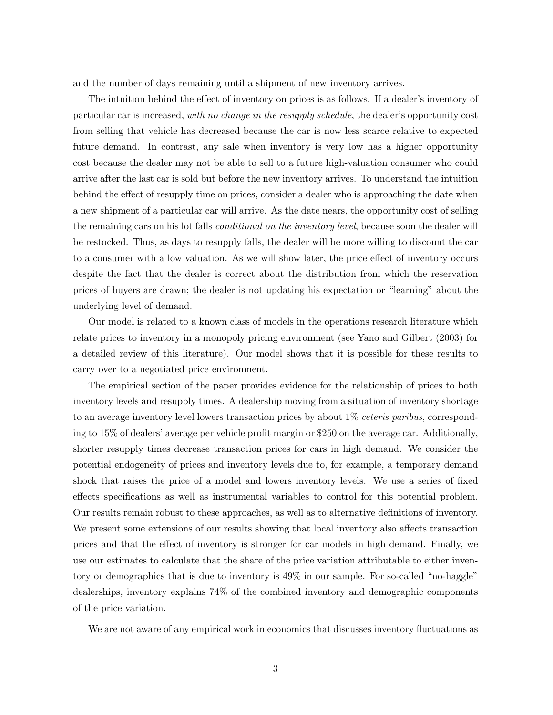and the number of days remaining until a shipment of new inventory arrives.

The intuition behind the effect of inventory on prices is as follows. If a dealer's inventory of particular car is increased, with no change in the resupply schedule, the dealer's opportunity cost from selling that vehicle has decreased because the car is now less scarce relative to expected future demand. In contrast, any sale when inventory is very low has a higher opportunity cost because the dealer may not be able to sell to a future high-valuation consumer who could arrive after the last car is sold but before the new inventory arrives. To understand the intuition behind the effect of resupply time on prices, consider a dealer who is approaching the date when a new shipment of a particular car will arrive. As the date nears, the opportunity cost of selling the remaining cars on his lot falls *conditional on the inventory level*, because soon the dealer will be restocked. Thus, as days to resupply falls, the dealer will be more willing to discount the car to a consumer with a low valuation. As we will show later, the price effect of inventory occurs despite the fact that the dealer is correct about the distribution from which the reservation prices of buyers are drawn; the dealer is not updating his expectation or "learning" about the underlying level of demand.

Our model is related to a known class of models in the operations research literature which relate prices to inventory in a monopoly pricing environment (see Yano and Gilbert (2003) for a detailed review of this literature). Our model shows that it is possible for these results to carry over to a negotiated price environment.

The empirical section of the paper provides evidence for the relationship of prices to both inventory levels and resupply times. A dealership moving from a situation of inventory shortage to an average inventory level lowers transaction prices by about  $1\%$  *ceteris paribus*, corresponding to 15% of dealers' average per vehicle profit margin or \$250 on the average car. Additionally, shorter resupply times decrease transaction prices for cars in high demand. We consider the potential endogeneity of prices and inventory levels due to, for example, a temporary demand shock that raises the price of a model and lowers inventory levels. We use a series of fixed effects specifications as well as instrumental variables to control for this potential problem. Our results remain robust to these approaches, as well as to alternative definitions of inventory. We present some extensions of our results showing that local inventory also affects transaction prices and that the effect of inventory is stronger for car models in high demand. Finally, we use our estimates to calculate that the share of the price variation attributable to either inventory or demographics that is due to inventory is 49% in our sample. For so-called "no-haggle" dealerships, inventory explains 74% of the combined inventory and demographic components of the price variation.

We are not aware of any empirical work in economics that discusses inventory fluctuations as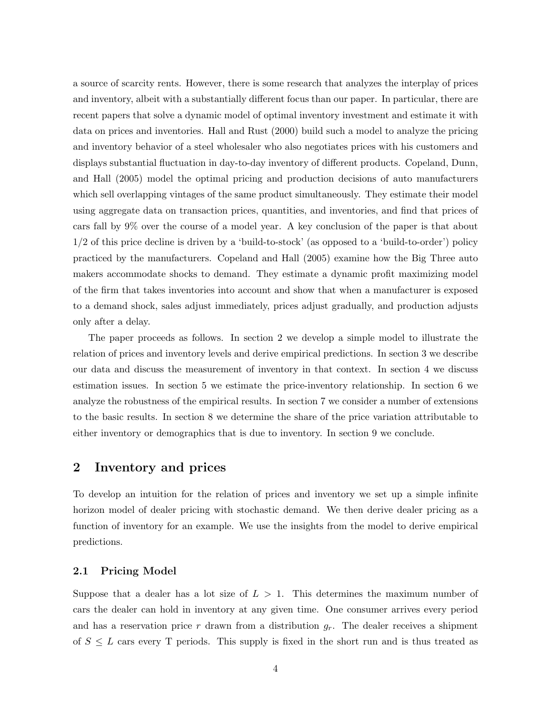a source of scarcity rents. However, there is some research that analyzes the interplay of prices and inventory, albeit with a substantially different focus than our paper. In particular, there are recent papers that solve a dynamic model of optimal inventory investment and estimate it with data on prices and inventories. Hall and Rust (2000) build such a model to analyze the pricing and inventory behavior of a steel wholesaler who also negotiates prices with his customers and displays substantial fluctuation in day-to-day inventory of different products. Copeland, Dunn, and Hall (2005) model the optimal pricing and production decisions of auto manufacturers which sell overlapping vintages of the same product simultaneously. They estimate their model using aggregate data on transaction prices, quantities, and inventories, and find that prices of cars fall by 9% over the course of a model year. A key conclusion of the paper is that about 1/2 of this price decline is driven by a 'build-to-stock' (as opposed to a 'build-to-order') policy practiced by the manufacturers. Copeland and Hall (2005) examine how the Big Three auto makers accommodate shocks to demand. They estimate a dynamic profit maximizing model of the firm that takes inventories into account and show that when a manufacturer is exposed to a demand shock, sales adjust immediately, prices adjust gradually, and production adjusts only after a delay.

The paper proceeds as follows. In section 2 we develop a simple model to illustrate the relation of prices and inventory levels and derive empirical predictions. In section 3 we describe our data and discuss the measurement of inventory in that context. In section 4 we discuss estimation issues. In section 5 we estimate the price-inventory relationship. In section 6 we analyze the robustness of the empirical results. In section 7 we consider a number of extensions to the basic results. In section 8 we determine the share of the price variation attributable to either inventory or demographics that is due to inventory. In section 9 we conclude.

## 2 Inventory and prices

To develop an intuition for the relation of prices and inventory we set up a simple infinite horizon model of dealer pricing with stochastic demand. We then derive dealer pricing as a function of inventory for an example. We use the insights from the model to derive empirical predictions.

#### 2.1 Pricing Model

Suppose that a dealer has a lot size of  $L > 1$ . This determines the maximum number of cars the dealer can hold in inventory at any given time. One consumer arrives every period and has a reservation price r drawn from a distribution  $g_r$ . The dealer receives a shipment of  $S \leq L$  cars every T periods. This supply is fixed in the short run and is thus treated as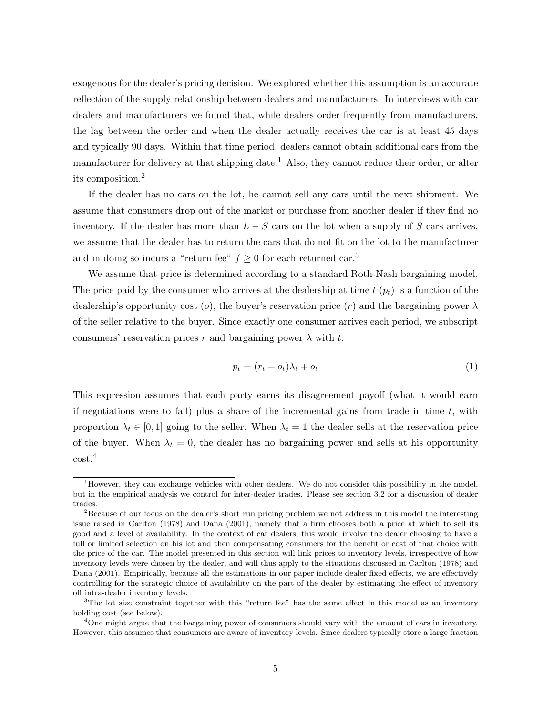exogenous for the dealer's pricing decision. We explored whether this assumption is an accurate reflection of the supply relationship between dealers and manufacturers. In interviews with car dealers and manufacturers we found that, while dealers order frequently from manufacturers, the lag between the order and when the dealer actually receives the car is at least 45 days and typically 90 days. Within that time period, dealers cannot obtain additional cars from the manufacturer for delivery at that shipping date.<sup>1</sup> Also, they cannot reduce their order, or alter its composition.<sup>2</sup>

If the dealer has no cars on the lot, he cannot sell any cars until the next shipment. We assume that consumers drop out of the market or purchase from another dealer if they find no inventory. If the dealer has more than  $L-S$  cars on the lot when a supply of S cars arrives, we assume that the dealer has to return the cars that do not fit on the lot to the manufacturer and in doing so incurs a "return fee"  $f \geq 0$  for each returned car.<sup>3</sup>

We assume that price is determined according to a standard Roth-Nash bargaining model. The price paid by the consumer who arrives at the dealership at time  $t$  ( $p_t$ ) is a function of the dealership's opportunity cost (o), the buyer's reservation price (r) and the bargaining power  $\lambda$ of the seller relative to the buyer. Since exactly one consumer arrives each period, we subscript consumers' reservation prices r and bargaining power  $\lambda$  with t:

$$
p_t = (r_t - o_t)\lambda_t + o_t \tag{1}
$$

This expression assumes that each party earns its disagreement payoff (what it would earn if negotiations were to fail) plus a share of the incremental gains from trade in time  $t$ , with proportion  $\lambda_t \in [0,1]$  going to the seller. When  $\lambda_t = 1$  the dealer sells at the reservation price of the buyer. When  $\lambda_t = 0$ , the dealer has no bargaining power and sells at his opportunity cost.<sup>4</sup>

<sup>&</sup>lt;sup>1</sup>However, they can exchange vehicles with other dealers. We do not consider this possibility in the model, but in the empirical analysis we control for inter-dealer trades. Please see section 3.2 for a discussion of dealer trades.

<sup>&</sup>lt;sup>2</sup>Because of our focus on the dealer's short run pricing problem we not address in this model the interesting issue raised in Carlton (1978) and Dana (2001), namely that a firm chooses both a price at which to sell its good and a level of availability. In the context of car dealers, this would involve the dealer choosing to have a full or limited selection on his lot and then compensating consumers for the benefit or cost of that choice with the price of the car. The model presented in this section will link prices to inventory levels, irrespective of how inventory levels were chosen by the dealer, and will thus apply to the situations discussed in Carlton (1978) and Dana (2001). Empirically, because all the estimations in our paper include dealer fixed effects, we are effectively controlling for the strategic choice of availability on the part of the dealer by estimating the effect of inventory off intra-dealer inventory levels.

<sup>&</sup>lt;sup>3</sup>The lot size constraint together with this "return fee" has the same effect in this model as an inventory holding cost (see below).

<sup>&</sup>lt;sup>4</sup>One might argue that the bargaining power of consumers should vary with the amount of cars in inventory. However, this assumes that consumers are aware of inventory levels. Since dealers typically store a large fraction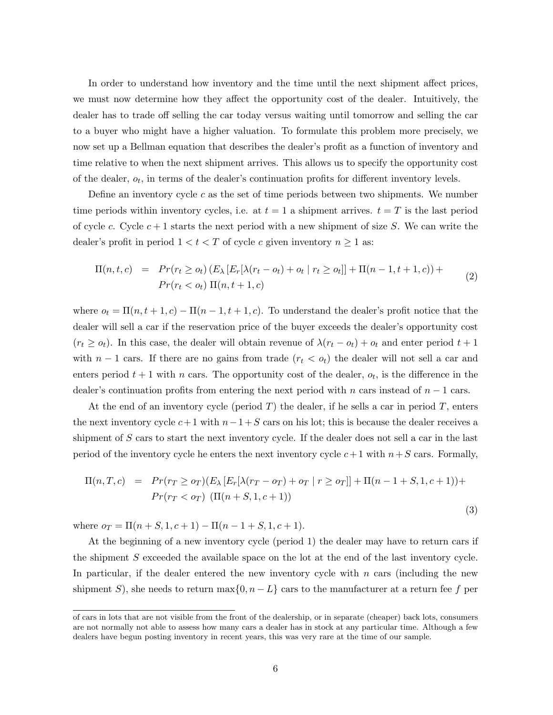In order to understand how inventory and the time until the next shipment affect prices, we must now determine how they affect the opportunity cost of the dealer. Intuitively, the dealer has to trade off selling the car today versus waiting until tomorrow and selling the car to a buyer who might have a higher valuation. To formulate this problem more precisely, we now set up a Bellman equation that describes the dealer's profit as a function of inventory and time relative to when the next shipment arrives. This allows us to specify the opportunity cost of the dealer,  $o_t$ , in terms of the dealer's continuation profits for different inventory levels.

Define an inventory cycle  $c$  as the set of time periods between two shipments. We number time periods within inventory cycles, i.e. at  $t = 1$  a shipment arrives.  $t = T$  is the last period of cycle c. Cycle  $c + 1$  starts the next period with a new shipment of size S. We can write the dealer's profit in period  $1 < t < T$  of cycle c given inventory  $n \ge 1$  as:

$$
\Pi(n, t, c) = Pr(r_t \geq o_t) (E_{\lambda} [E_r[\lambda(r_t - o_t) + o_t | r_t \geq o_t]] + \Pi(n - 1, t + 1, c)) + Pr(r_t < o_t) \Pi(n, t + 1, c)
$$
\n(2)

where  $o_t = \Pi(n, t + 1, c) - \Pi(n - 1, t + 1, c)$ . To understand the dealer's profit notice that the dealer will sell a car if the reservation price of the buyer exceeds the dealer's opportunity cost  $(r_t \geq o_t)$ . In this case, the dealer will obtain revenue of  $\lambda(r_t - o_t) + o_t$  and enter period  $t + 1$ with  $n-1$  cars. If there are no gains from trade  $(r_t < o_t)$  the dealer will not sell a car and enters period  $t + 1$  with n cars. The opportunity cost of the dealer,  $o_t$ , is the difference in the dealer's continuation profits from entering the next period with n cars instead of  $n-1$  cars.

At the end of an inventory cycle (period  $T$ ) the dealer, if he sells a car in period  $T$ , enters the next inventory cycle  $c+1$  with  $n-1+S$  cars on his lot; this is because the dealer receives a shipment of  $S$  cars to start the next inventory cycle. If the dealer does not sell a car in the last period of the inventory cycle he enters the next inventory cycle  $c+1$  with  $n+S$  cars. Formally,

$$
\Pi(n, T, c) = Pr(r_T \ge \sigma_T)(E_\lambda [E_r[\lambda(r_T - \sigma_T) + \sigma_T | r \ge \sigma_T]] + \Pi(n - 1 + S, 1, c + 1)) + Pr(r_T < \sigma_T) (\Pi(n + S, 1, c + 1))
$$
\n(3)

where  $o_T = \Pi(n+S,1,c+1) - \Pi(n-1+S,1,c+1)$ .

At the beginning of a new inventory cycle (period 1) the dealer may have to return cars if the shipment S exceeded the available space on the lot at the end of the last inventory cycle. In particular, if the dealer entered the new inventory cycle with  $n$  cars (including the new shipment S), she needs to return max $\{0, n - L\}$  cars to the manufacturer at a return fee f per

of cars in lots that are not visible from the front of the dealership, or in separate (cheaper) back lots, consumers are not normally not able to assess how many cars a dealer has in stock at any particular time. Although a few dealers have begun posting inventory in recent years, this was very rare at the time of our sample.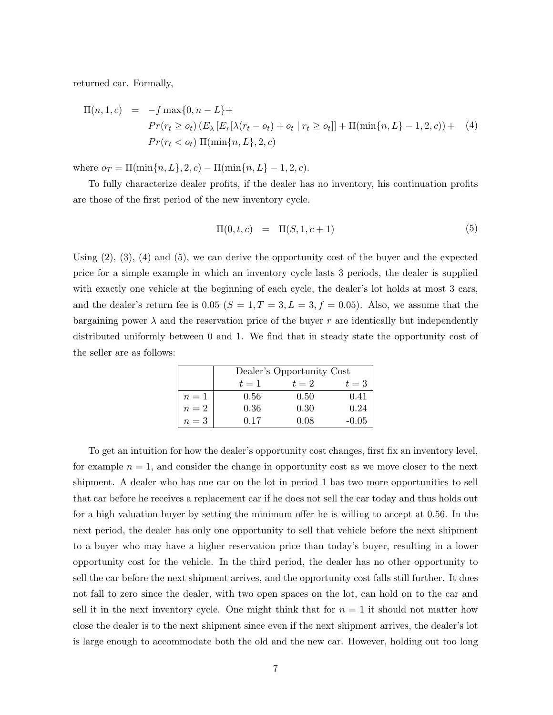returned car. Formally,

$$
\Pi(n, 1, c) = -f \max\{0, n - L\} +
$$
\n
$$
Pr(r_t \geq o_t) (E_{\lambda} [E_r[\lambda(r_t - o_t) + o_t | r_t \geq o_t]] + \Pi(\min\{n, L\} - 1, 2, c)) + (4)
$$
\n
$$
Pr(r_t < o_t) \Pi(\min\{n, L\}, 2, c)
$$

where  $o_T = \Pi(\min\{n, L\}, 2, c) - \Pi(\min\{n, L\} - 1, 2, c).$ 

To fully characterize dealer profits, if the dealer has no inventory, his continuation profits are those of the first period of the new inventory cycle.

$$
\Pi(0, t, c) = \Pi(S, 1, c + 1) \tag{5}
$$

Using  $(2)$ ,  $(3)$ ,  $(4)$  and  $(5)$ , we can derive the opportunity cost of the buyer and the expected price for a simple example in which an inventory cycle lasts 3 periods, the dealer is supplied with exactly one vehicle at the beginning of each cycle, the dealer's lot holds at most 3 cars, and the dealer's return fee is 0.05 ( $S = 1, T = 3, L = 3, f = 0.05$ ). Also, we assume that the bargaining power  $\lambda$  and the reservation price of the buyer r are identically but independently distributed uniformly between 0 and 1. We find that in steady state the opportunity cost of the seller are as follows:

|       | Dealer's Opportunity Cost |       |         |  |  |  |
|-------|---------------------------|-------|---------|--|--|--|
|       | $t=1$                     | $t=2$ | $t=3$   |  |  |  |
| $n=1$ | 0.56                      | 0.50  | 0.41    |  |  |  |
| $n=2$ | 0.36                      | 0.30  | 0.24    |  |  |  |
| $n=3$ | 0.17                      | 0.O8  | $-0.05$ |  |  |  |

To get an intuition for how the dealer's opportunity cost changes, first fix an inventory level, for example  $n = 1$ , and consider the change in opportunity cost as we move closer to the next shipment. A dealer who has one car on the lot in period 1 has two more opportunities to sell that car before he receives a replacement car if he does not sell the car today and thus holds out for a high valuation buyer by setting the minimum offer he is willing to accept at 0.56. In the next period, the dealer has only one opportunity to sell that vehicle before the next shipment to a buyer who may have a higher reservation price than today's buyer, resulting in a lower opportunity cost for the vehicle. In the third period, the dealer has no other opportunity to sell the car before the next shipment arrives, and the opportunity cost falls still further. It does not fall to zero since the dealer, with two open spaces on the lot, can hold on to the car and sell it in the next inventory cycle. One might think that for  $n = 1$  it should not matter how close the dealer is to the next shipment since even if the next shipment arrives, the dealer's lot is large enough to accommodate both the old and the new car. However, holding out too long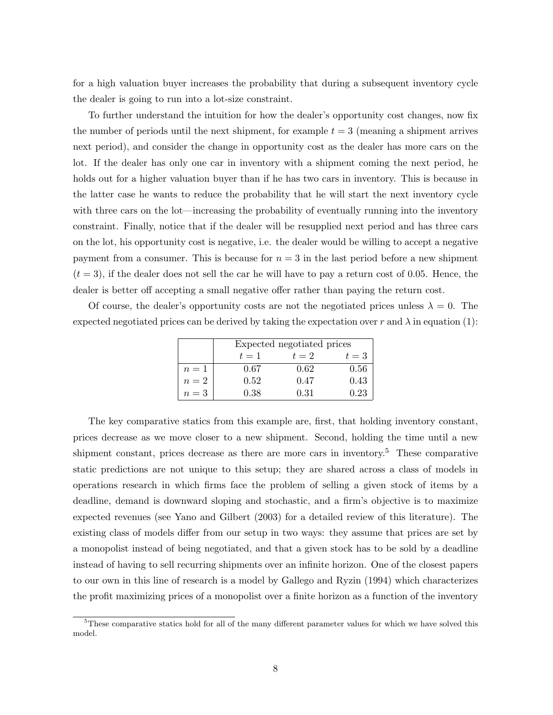for a high valuation buyer increases the probability that during a subsequent inventory cycle the dealer is going to run into a lot-size constraint.

To further understand the intuition for how the dealer's opportunity cost changes, now fix the number of periods until the next shipment, for example  $t = 3$  (meaning a shipment arrives next period), and consider the change in opportunity cost as the dealer has more cars on the lot. If the dealer has only one car in inventory with a shipment coming the next period, he holds out for a higher valuation buyer than if he has two cars in inventory. This is because in the latter case he wants to reduce the probability that he will start the next inventory cycle with three cars on the lot—increasing the probability of eventually running into the inventory constraint. Finally, notice that if the dealer will be resupplied next period and has three cars on the lot, his opportunity cost is negative, i.e. the dealer would be willing to accept a negative payment from a consumer. This is because for  $n = 3$  in the last period before a new shipment  $(t = 3)$ , if the dealer does not sell the car he will have to pay a return cost of 0.05. Hence, the dealer is better off accepting a small negative offer rather than paying the return cost.

Of course, the dealer's opportunity costs are not the negotiated prices unless  $\lambda = 0$ . The expected negotiated prices can be derived by taking the expectation over r and  $\lambda$  in equation (1):

|       | Expected negotiated prices |       |       |  |  |
|-------|----------------------------|-------|-------|--|--|
|       | $t=1$                      | $t=2$ | $t=3$ |  |  |
| $n=1$ | 0.67                       | 0.62  | 0.56  |  |  |
| $n=2$ | 0.52                       | 0.47  | 0.43  |  |  |
| $n=3$ | 0.38                       | 0.31  | 0.23  |  |  |

The key comparative statics from this example are, first, that holding inventory constant, prices decrease as we move closer to a new shipment. Second, holding the time until a new shipment constant, prices decrease as there are more cars in inventory.<sup>5</sup> These comparative static predictions are not unique to this setup; they are shared across a class of models in operations research in which firms face the problem of selling a given stock of items by a deadline, demand is downward sloping and stochastic, and a firm's objective is to maximize expected revenues (see Yano and Gilbert (2003) for a detailed review of this literature). The existing class of models differ from our setup in two ways: they assume that prices are set by a monopolist instead of being negotiated, and that a given stock has to be sold by a deadline instead of having to sell recurring shipments over an infinite horizon. One of the closest papers to our own in this line of research is a model by Gallego and Ryzin (1994) which characterizes the profit maximizing prices of a monopolist over a finite horizon as a function of the inventory

<sup>&</sup>lt;sup>5</sup>These comparative statics hold for all of the many different parameter values for which we have solved this model.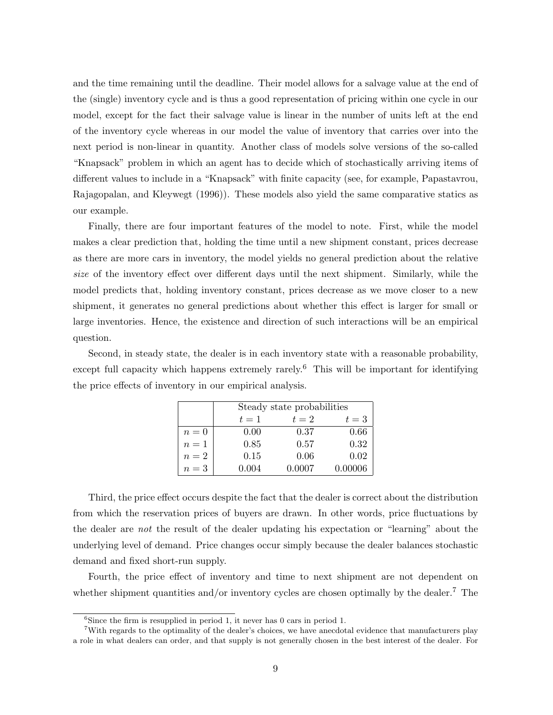and the time remaining until the deadline. Their model allows for a salvage value at the end of the (single) inventory cycle and is thus a good representation of pricing within one cycle in our model, except for the fact their salvage value is linear in the number of units left at the end of the inventory cycle whereas in our model the value of inventory that carries over into the next period is non-linear in quantity. Another class of models solve versions of the so-called "Knapsack" problem in which an agent has to decide which of stochastically arriving items of different values to include in a "Knapsack" with finite capacity (see, for example, Papastavrou, Rajagopalan, and Kleywegt (1996)). These models also yield the same comparative statics as our example.

Finally, there are four important features of the model to note. First, while the model makes a clear prediction that, holding the time until a new shipment constant, prices decrease as there are more cars in inventory, the model yields no general prediction about the relative size of the inventory effect over different days until the next shipment. Similarly, while the model predicts that, holding inventory constant, prices decrease as we move closer to a new shipment, it generates no general predictions about whether this effect is larger for small or large inventories. Hence, the existence and direction of such interactions will be an empirical question.

Second, in steady state, the dealer is in each inventory state with a reasonable probability, except full capacity which happens extremely rarely.<sup>6</sup> This will be important for identifying the price effects of inventory in our empirical analysis.

|       | Steady state probabilities |        |         |  |  |  |
|-------|----------------------------|--------|---------|--|--|--|
|       | $t=1$                      | $t=2$  | $t=3$   |  |  |  |
| $n=0$ | 0.00                       | 0.37   | 0.66    |  |  |  |
| $n=1$ | 0.85                       | 0.57   | 0.32    |  |  |  |
| $n=2$ | 0.15                       | 0.06   | 0.02    |  |  |  |
| $n=3$ | 0.004                      | 0.0007 | 0.00006 |  |  |  |

Third, the price effect occurs despite the fact that the dealer is correct about the distribution from which the reservation prices of buyers are drawn. In other words, price fluctuations by the dealer are not the result of the dealer updating his expectation or "learning" about the underlying level of demand. Price changes occur simply because the dealer balances stochastic demand and fixed short-run supply.

Fourth, the price effect of inventory and time to next shipment are not dependent on whether shipment quantities and/or inventory cycles are chosen optimally by the dealer.<sup>7</sup> The

 ${}^{6}$ Since the firm is resupplied in period 1, it never has 0 cars in period 1.

<sup>&</sup>lt;sup>7</sup>With regards to the optimality of the dealer's choices, we have anecdotal evidence that manufacturers play a role in what dealers can order, and that supply is not generally chosen in the best interest of the dealer. For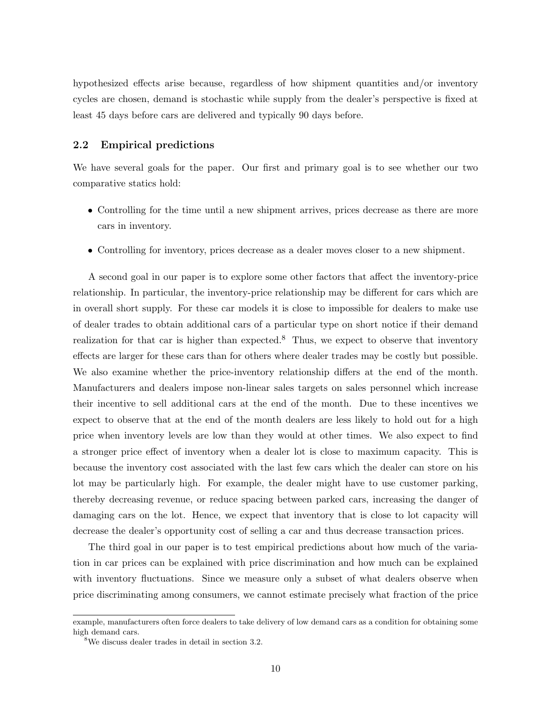hypothesized effects arise because, regardless of how shipment quantities and/or inventory cycles are chosen, demand is stochastic while supply from the dealer's perspective is fixed at least 45 days before cars are delivered and typically 90 days before.

#### 2.2 Empirical predictions

We have several goals for the paper. Our first and primary goal is to see whether our two comparative statics hold:

- Controlling for the time until a new shipment arrives, prices decrease as there are more cars in inventory.
- Controlling for inventory, prices decrease as a dealer moves closer to a new shipment.

A second goal in our paper is to explore some other factors that affect the inventory-price relationship. In particular, the inventory-price relationship may be different for cars which are in overall short supply. For these car models it is close to impossible for dealers to make use of dealer trades to obtain additional cars of a particular type on short notice if their demand realization for that car is higher than expected.<sup>8</sup> Thus, we expect to observe that inventory effects are larger for these cars than for others where dealer trades may be costly but possible. We also examine whether the price-inventory relationship differs at the end of the month. Manufacturers and dealers impose non-linear sales targets on sales personnel which increase their incentive to sell additional cars at the end of the month. Due to these incentives we expect to observe that at the end of the month dealers are less likely to hold out for a high price when inventory levels are low than they would at other times. We also expect to find a stronger price effect of inventory when a dealer lot is close to maximum capacity. This is because the inventory cost associated with the last few cars which the dealer can store on his lot may be particularly high. For example, the dealer might have to use customer parking, thereby decreasing revenue, or reduce spacing between parked cars, increasing the danger of damaging cars on the lot. Hence, we expect that inventory that is close to lot capacity will decrease the dealer's opportunity cost of selling a car and thus decrease transaction prices.

The third goal in our paper is to test empirical predictions about how much of the variation in car prices can be explained with price discrimination and how much can be explained with inventory fluctuations. Since we measure only a subset of what dealers observe when price discriminating among consumers, we cannot estimate precisely what fraction of the price

example, manufacturers often force dealers to take delivery of low demand cars as a condition for obtaining some high demand cars.

<sup>8</sup>We discuss dealer trades in detail in section 3.2.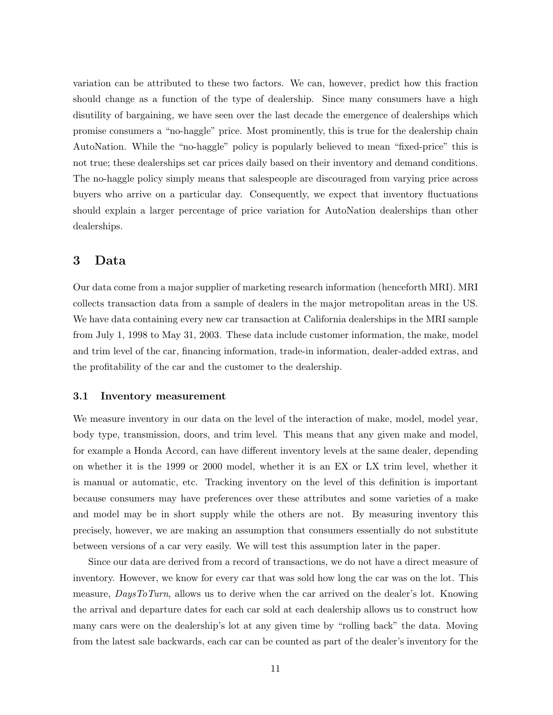variation can be attributed to these two factors. We can, however, predict how this fraction should change as a function of the type of dealership. Since many consumers have a high disutility of bargaining, we have seen over the last decade the emergence of dealerships which promise consumers a "no-haggle" price. Most prominently, this is true for the dealership chain AutoNation. While the "no-haggle" policy is popularly believed to mean "fixed-price" this is not true; these dealerships set car prices daily based on their inventory and demand conditions. The no-haggle policy simply means that salespeople are discouraged from varying price across buyers who arrive on a particular day. Consequently, we expect that inventory fluctuations should explain a larger percentage of price variation for AutoNation dealerships than other dealerships.

## 3 Data

Our data come from a major supplier of marketing research information (henceforth MRI). MRI collects transaction data from a sample of dealers in the major metropolitan areas in the US. We have data containing every new car transaction at California dealerships in the MRI sample from July 1, 1998 to May 31, 2003. These data include customer information, the make, model and trim level of the car, financing information, trade-in information, dealer-added extras, and the profitability of the car and the customer to the dealership.

#### 3.1 Inventory measurement

We measure inventory in our data on the level of the interaction of make, model, model year, body type, transmission, doors, and trim level. This means that any given make and model, for example a Honda Accord, can have different inventory levels at the same dealer, depending on whether it is the 1999 or 2000 model, whether it is an EX or LX trim level, whether it is manual or automatic, etc. Tracking inventory on the level of this definition is important because consumers may have preferences over these attributes and some varieties of a make and model may be in short supply while the others are not. By measuring inventory this precisely, however, we are making an assumption that consumers essentially do not substitute between versions of a car very easily. We will test this assumption later in the paper.

Since our data are derived from a record of transactions, we do not have a direct measure of inventory. However, we know for every car that was sold how long the car was on the lot. This measure, DaysToTurn, allows us to derive when the car arrived on the dealer's lot. Knowing the arrival and departure dates for each car sold at each dealership allows us to construct how many cars were on the dealership's lot at any given time by "rolling back" the data. Moving from the latest sale backwards, each car can be counted as part of the dealer's inventory for the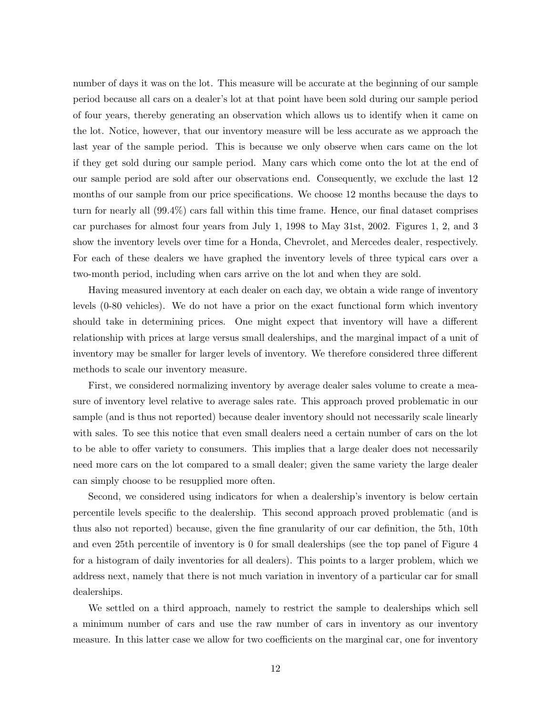number of days it was on the lot. This measure will be accurate at the beginning of our sample period because all cars on a dealer's lot at that point have been sold during our sample period of four years, thereby generating an observation which allows us to identify when it came on the lot. Notice, however, that our inventory measure will be less accurate as we approach the last year of the sample period. This is because we only observe when cars came on the lot if they get sold during our sample period. Many cars which come onto the lot at the end of our sample period are sold after our observations end. Consequently, we exclude the last 12 months of our sample from our price specifications. We choose 12 months because the days to turn for nearly all (99.4%) cars fall within this time frame. Hence, our final dataset comprises car purchases for almost four years from July 1, 1998 to May 31st, 2002. Figures 1, 2, and 3 show the inventory levels over time for a Honda, Chevrolet, and Mercedes dealer, respectively. For each of these dealers we have graphed the inventory levels of three typical cars over a two-month period, including when cars arrive on the lot and when they are sold.

Having measured inventory at each dealer on each day, we obtain a wide range of inventory levels (0-80 vehicles). We do not have a prior on the exact functional form which inventory should take in determining prices. One might expect that inventory will have a different relationship with prices at large versus small dealerships, and the marginal impact of a unit of inventory may be smaller for larger levels of inventory. We therefore considered three different methods to scale our inventory measure.

First, we considered normalizing inventory by average dealer sales volume to create a measure of inventory level relative to average sales rate. This approach proved problematic in our sample (and is thus not reported) because dealer inventory should not necessarily scale linearly with sales. To see this notice that even small dealers need a certain number of cars on the lot to be able to offer variety to consumers. This implies that a large dealer does not necessarily need more cars on the lot compared to a small dealer; given the same variety the large dealer can simply choose to be resupplied more often.

Second, we considered using indicators for when a dealership's inventory is below certain percentile levels specific to the dealership. This second approach proved problematic (and is thus also not reported) because, given the fine granularity of our car definition, the 5th, 10th and even 25th percentile of inventory is 0 for small dealerships (see the top panel of Figure 4 for a histogram of daily inventories for all dealers). This points to a larger problem, which we address next, namely that there is not much variation in inventory of a particular car for small dealerships.

We settled on a third approach, namely to restrict the sample to dealerships which sell a minimum number of cars and use the raw number of cars in inventory as our inventory measure. In this latter case we allow for two coefficients on the marginal car, one for inventory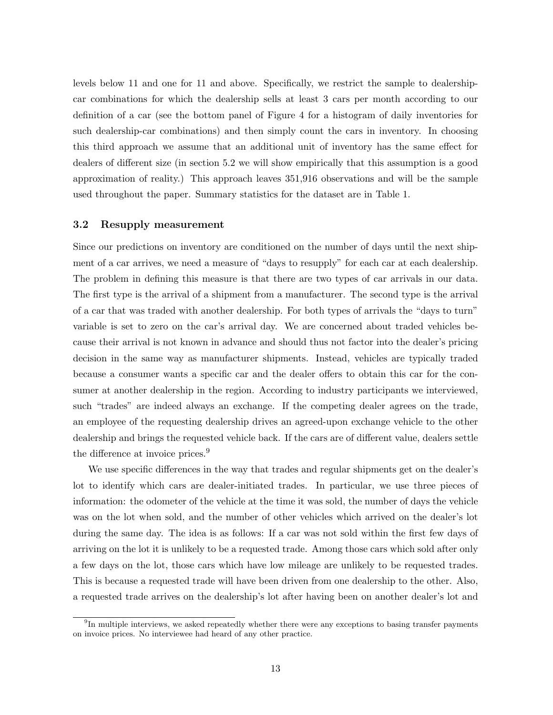levels below 11 and one for 11 and above. Specifically, we restrict the sample to dealershipcar combinations for which the dealership sells at least 3 cars per month according to our definition of a car (see the bottom panel of Figure 4 for a histogram of daily inventories for such dealership-car combinations) and then simply count the cars in inventory. In choosing this third approach we assume that an additional unit of inventory has the same effect for dealers of different size (in section 5.2 we will show empirically that this assumption is a good approximation of reality.) This approach leaves 351,916 observations and will be the sample used throughout the paper. Summary statistics for the dataset are in Table 1.

#### 3.2 Resupply measurement

Since our predictions on inventory are conditioned on the number of days until the next shipment of a car arrives, we need a measure of "days to resupply" for each car at each dealership. The problem in defining this measure is that there are two types of car arrivals in our data. The first type is the arrival of a shipment from a manufacturer. The second type is the arrival of a car that was traded with another dealership. For both types of arrivals the "days to turn" variable is set to zero on the car's arrival day. We are concerned about traded vehicles because their arrival is not known in advance and should thus not factor into the dealer's pricing decision in the same way as manufacturer shipments. Instead, vehicles are typically traded because a consumer wants a specific car and the dealer offers to obtain this car for the consumer at another dealership in the region. According to industry participants we interviewed, such "trades" are indeed always an exchange. If the competing dealer agrees on the trade, an employee of the requesting dealership drives an agreed-upon exchange vehicle to the other dealership and brings the requested vehicle back. If the cars are of different value, dealers settle the difference at invoice prices.<sup>9</sup>

We use specific differences in the way that trades and regular shipments get on the dealer's lot to identify which cars are dealer-initiated trades. In particular, we use three pieces of information: the odometer of the vehicle at the time it was sold, the number of days the vehicle was on the lot when sold, and the number of other vehicles which arrived on the dealer's lot during the same day. The idea is as follows: If a car was not sold within the first few days of arriving on the lot it is unlikely to be a requested trade. Among those cars which sold after only a few days on the lot, those cars which have low mileage are unlikely to be requested trades. This is because a requested trade will have been driven from one dealership to the other. Also, a requested trade arrives on the dealership's lot after having been on another dealer's lot and

<sup>&</sup>lt;sup>9</sup>In multiple interviews, we asked repeatedly whether there were any exceptions to basing transfer payments on invoice prices. No interviewee had heard of any other practice.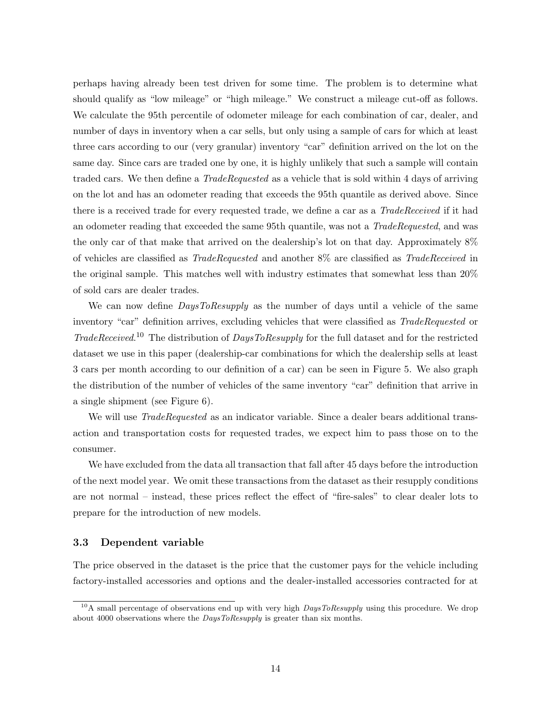perhaps having already been test driven for some time. The problem is to determine what should qualify as "low mileage" or "high mileage." We construct a mileage cut-off as follows. We calculate the 95th percentile of odometer mileage for each combination of car, dealer, and number of days in inventory when a car sells, but only using a sample of cars for which at least three cars according to our (very granular) inventory "car" definition arrived on the lot on the same day. Since cars are traded one by one, it is highly unlikely that such a sample will contain traded cars. We then define a *TradeRequested* as a vehicle that is sold within 4 days of arriving on the lot and has an odometer reading that exceeds the 95th quantile as derived above. Since there is a received trade for every requested trade, we define a car as a *TradeReceived* if it had an odometer reading that exceeded the same 95th quantile, was not a TradeRequested, and was the only car of that make that arrived on the dealership's lot on that day. Approximately 8% of vehicles are classified as TradeRequested and another 8% are classified as TradeReceived in the original sample. This matches well with industry estimates that somewhat less than 20% of sold cars are dealer trades.

We can now define *DaysToResupply* as the number of days until a vehicle of the same inventory "car" definition arrives, excluding vehicles that were classified as TradeRequested or TradeReceived. <sup>10</sup> The distribution of DaysToResupply for the full dataset and for the restricted dataset we use in this paper (dealership-car combinations for which the dealership sells at least 3 cars per month according to our definition of a car) can be seen in Figure 5. We also graph the distribution of the number of vehicles of the same inventory "car" definition that arrive in a single shipment (see Figure 6).

We will use *TradeRequested* as an indicator variable. Since a dealer bears additional transaction and transportation costs for requested trades, we expect him to pass those on to the consumer.

We have excluded from the data all transaction that fall after 45 days before the introduction of the next model year. We omit these transactions from the dataset as their resupply conditions are not normal – instead, these prices reflect the effect of "fire-sales" to clear dealer lots to prepare for the introduction of new models.

#### 3.3 Dependent variable

The price observed in the dataset is the price that the customer pays for the vehicle including factory-installed accessories and options and the dealer-installed accessories contracted for at

<sup>&</sup>lt;sup>10</sup>A small percentage of observations end up with very high  $DausToResuply$  using this procedure. We drop about 4000 observations where the *DaysToResupply* is greater than six months.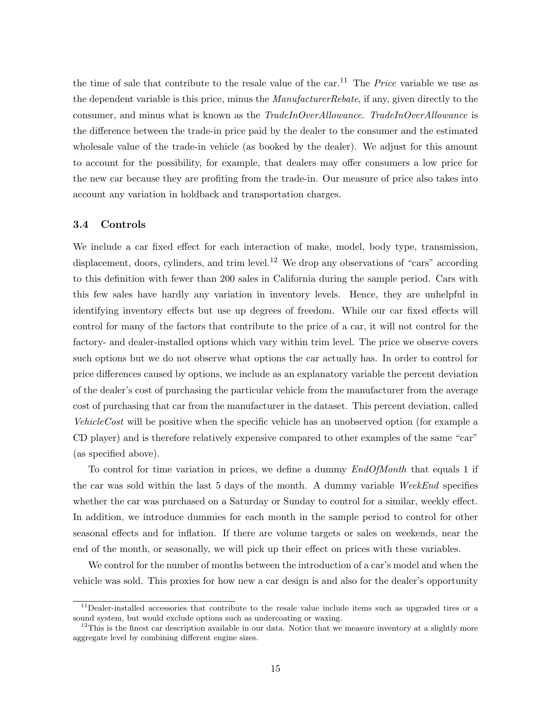the time of sale that contribute to the resale value of the car.<sup>11</sup> The *Price* variable we use as the dependent variable is this price, minus the *ManufacturerRebate*, if any, given directly to the consumer, and minus what is known as the TradeInOverAllowance. TradeInOverAllowance is the difference between the trade-in price paid by the dealer to the consumer and the estimated wholesale value of the trade-in vehicle (as booked by the dealer). We adjust for this amount to account for the possibility, for example, that dealers may offer consumers a low price for the new car because they are profiting from the trade-in. Our measure of price also takes into account any variation in holdback and transportation charges.

#### 3.4 Controls

We include a car fixed effect for each interaction of make, model, body type, transmission, displacement, doors, cylinders, and trim level.<sup>12</sup> We drop any observations of "cars" according to this definition with fewer than 200 sales in California during the sample period. Cars with this few sales have hardly any variation in inventory levels. Hence, they are unhelpful in identifying inventory effects but use up degrees of freedom. While our car fixed effects will control for many of the factors that contribute to the price of a car, it will not control for the factory- and dealer-installed options which vary within trim level. The price we observe covers such options but we do not observe what options the car actually has. In order to control for price differences caused by options, we include as an explanatory variable the percent deviation of the dealer's cost of purchasing the particular vehicle from the manufacturer from the average cost of purchasing that car from the manufacturer in the dataset. This percent deviation, called VehicleCost will be positive when the specific vehicle has an unobserved option (for example a CD player) and is therefore relatively expensive compared to other examples of the same "car" (as specified above).

To control for time variation in prices, we define a dummy  $EndOfMonth$  that equals 1 if the car was sold within the last 5 days of the month. A dummy variable WeekEnd specifies whether the car was purchased on a Saturday or Sunday to control for a similar, weekly effect. In addition, we introduce dummies for each month in the sample period to control for other seasonal effects and for inflation. If there are volume targets or sales on weekends, near the end of the month, or seasonally, we will pick up their effect on prices with these variables.

We control for the number of months between the introduction of a car's model and when the vehicle was sold. This proxies for how new a car design is and also for the dealer's opportunity

 $11$ Dealer-installed accessories that contribute to the resale value include items such as upgraded tires or a sound system, but would exclude options such as undercoating or waxing.

 $12$ This is the finest car description available in our data. Notice that we measure inventory at a slightly more aggregate level by combining different engine sizes.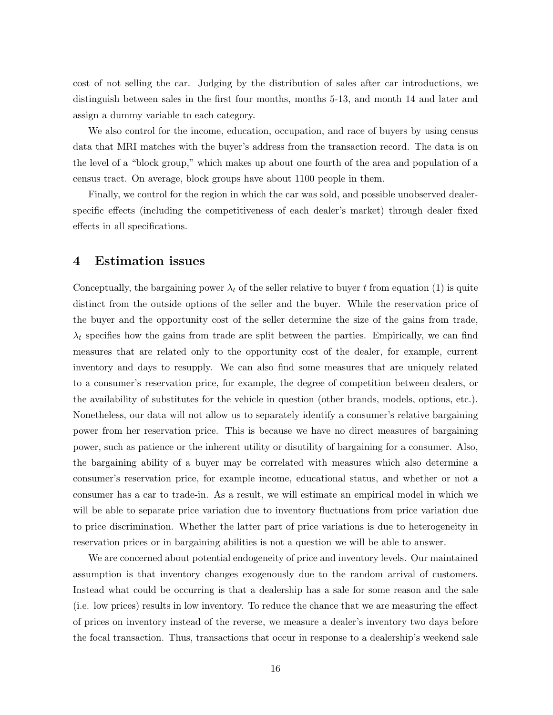cost of not selling the car. Judging by the distribution of sales after car introductions, we distinguish between sales in the first four months, months 5-13, and month 14 and later and assign a dummy variable to each category.

We also control for the income, education, occupation, and race of buyers by using census data that MRI matches with the buyer's address from the transaction record. The data is on the level of a "block group," which makes up about one fourth of the area and population of a census tract. On average, block groups have about 1100 people in them.

Finally, we control for the region in which the car was sold, and possible unobserved dealerspecific effects (including the competitiveness of each dealer's market) through dealer fixed effects in all specifications.

## 4 Estimation issues

Conceptually, the bargaining power  $\lambda_t$  of the seller relative to buyer t from equation (1) is quite distinct from the outside options of the seller and the buyer. While the reservation price of the buyer and the opportunity cost of the seller determine the size of the gains from trade,  $\lambda_t$  specifies how the gains from trade are split between the parties. Empirically, we can find measures that are related only to the opportunity cost of the dealer, for example, current inventory and days to resupply. We can also find some measures that are uniquely related to a consumer's reservation price, for example, the degree of competition between dealers, or the availability of substitutes for the vehicle in question (other brands, models, options, etc.). Nonetheless, our data will not allow us to separately identify a consumer's relative bargaining power from her reservation price. This is because we have no direct measures of bargaining power, such as patience or the inherent utility or disutility of bargaining for a consumer. Also, the bargaining ability of a buyer may be correlated with measures which also determine a consumer's reservation price, for example income, educational status, and whether or not a consumer has a car to trade-in. As a result, we will estimate an empirical model in which we will be able to separate price variation due to inventory fluctuations from price variation due to price discrimination. Whether the latter part of price variations is due to heterogeneity in reservation prices or in bargaining abilities is not a question we will be able to answer.

We are concerned about potential endogeneity of price and inventory levels. Our maintained assumption is that inventory changes exogenously due to the random arrival of customers. Instead what could be occurring is that a dealership has a sale for some reason and the sale (i.e. low prices) results in low inventory. To reduce the chance that we are measuring the effect of prices on inventory instead of the reverse, we measure a dealer's inventory two days before the focal transaction. Thus, transactions that occur in response to a dealership's weekend sale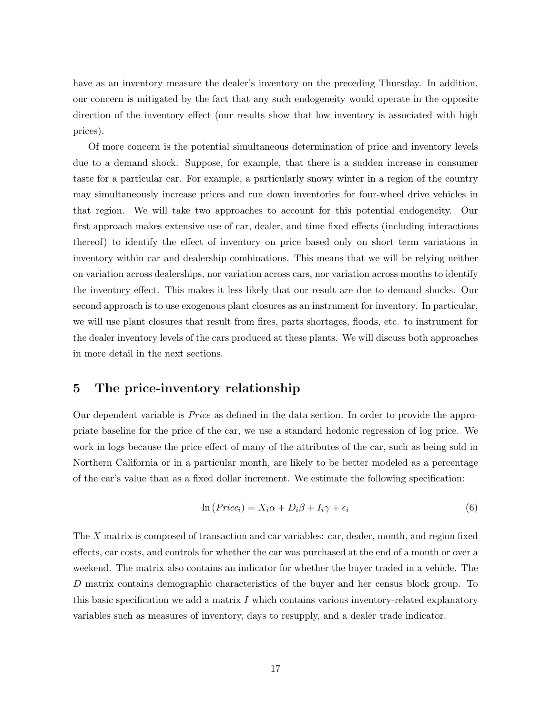have as an inventory measure the dealer's inventory on the preceding Thursday. In addition, our concern is mitigated by the fact that any such endogeneity would operate in the opposite direction of the inventory effect (our results show that low inventory is associated with high prices).

Of more concern is the potential simultaneous determination of price and inventory levels due to a demand shock. Suppose, for example, that there is a sudden increase in consumer taste for a particular car. For example, a particularly snowy winter in a region of the country may simultaneously increase prices and run down inventories for four-wheel drive vehicles in that region. We will take two approaches to account for this potential endogeneity. Our first approach makes extensive use of car, dealer, and time fixed effects (including interactions thereof) to identify the effect of inventory on price based only on short term variations in inventory within car and dealership combinations. This means that we will be relying neither on variation across dealerships, nor variation across cars, nor variation across months to identify the inventory effect. This makes it less likely that our result are due to demand shocks. Our second approach is to use exogenous plant closures as an instrument for inventory. In particular, we will use plant closures that result from fires, parts shortages, floods, etc. to instrument for the dealer inventory levels of the cars produced at these plants. We will discuss both approaches in more detail in the next sections.

## 5 The price-inventory relationship

Our dependent variable is Price as defined in the data section. In order to provide the appropriate baseline for the price of the car, we use a standard hedonic regression of log price. We work in logs because the price effect of many of the attributes of the car, such as being sold in Northern California or in a particular month, are likely to be better modeled as a percentage of the car's value than as a fixed dollar increment. We estimate the following specification:

$$
\ln(Price_i) = X_i \alpha + D_i \beta + I_i \gamma + \epsilon_i \tag{6}
$$

The X matrix is composed of transaction and car variables: car, dealer, month, and region fixed effects, car costs, and controls for whether the car was purchased at the end of a month or over a weekend. The matrix also contains an indicator for whether the buyer traded in a vehicle. The D matrix contains demographic characteristics of the buyer and her census block group. To this basic specification we add a matrix  $I$  which contains various inventory-related explanatory variables such as measures of inventory, days to resupply, and a dealer trade indicator.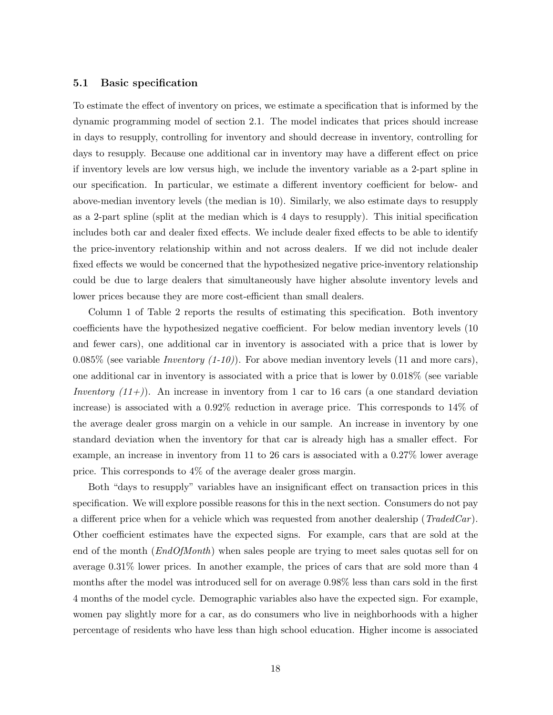#### 5.1 Basic specification

To estimate the effect of inventory on prices, we estimate a specification that is informed by the dynamic programming model of section 2.1. The model indicates that prices should increase in days to resupply, controlling for inventory and should decrease in inventory, controlling for days to resupply. Because one additional car in inventory may have a different effect on price if inventory levels are low versus high, we include the inventory variable as a 2-part spline in our specification. In particular, we estimate a different inventory coefficient for below- and above-median inventory levels (the median is 10). Similarly, we also estimate days to resupply as a 2-part spline (split at the median which is 4 days to resupply). This initial specification includes both car and dealer fixed effects. We include dealer fixed effects to be able to identify the price-inventory relationship within and not across dealers. If we did not include dealer fixed effects we would be concerned that the hypothesized negative price-inventory relationship could be due to large dealers that simultaneously have higher absolute inventory levels and lower prices because they are more cost-efficient than small dealers.

Column 1 of Table 2 reports the results of estimating this specification. Both inventory coefficients have the hypothesized negative coefficient. For below median inventory levels (10 and fewer cars), one additional car in inventory is associated with a price that is lower by 0.085% (see variable *Inventory (1-10)*). For above median inventory levels (11 and more cars), one additional car in inventory is associated with a price that is lower by 0.018% (see variable Inventory  $(11+))$ . An increase in inventory from 1 car to 16 cars (a one standard deviation increase) is associated with a 0.92% reduction in average price. This corresponds to 14% of the average dealer gross margin on a vehicle in our sample. An increase in inventory by one standard deviation when the inventory for that car is already high has a smaller effect. For example, an increase in inventory from 11 to 26 cars is associated with a 0.27% lower average price. This corresponds to 4% of the average dealer gross margin.

Both "days to resupply" variables have an insignificant effect on transaction prices in this specification. We will explore possible reasons for this in the next section. Consumers do not pay a different price when for a vehicle which was requested from another dealership ( $TradeCar)$ . Other coefficient estimates have the expected signs. For example, cars that are sold at the end of the month (*EndOfMonth*) when sales people are trying to meet sales quotas sell for on average 0.31% lower prices. In another example, the prices of cars that are sold more than 4 months after the model was introduced sell for on average 0.98% less than cars sold in the first 4 months of the model cycle. Demographic variables also have the expected sign. For example, women pay slightly more for a car, as do consumers who live in neighborhoods with a higher percentage of residents who have less than high school education. Higher income is associated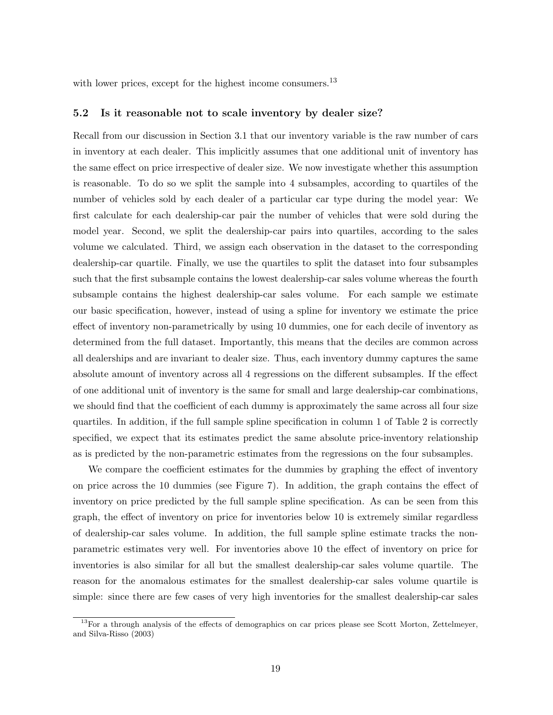with lower prices, except for the highest income consumers.<sup>13</sup>

#### 5.2 Is it reasonable not to scale inventory by dealer size?

Recall from our discussion in Section 3.1 that our inventory variable is the raw number of cars in inventory at each dealer. This implicitly assumes that one additional unit of inventory has the same effect on price irrespective of dealer size. We now investigate whether this assumption is reasonable. To do so we split the sample into 4 subsamples, according to quartiles of the number of vehicles sold by each dealer of a particular car type during the model year: We first calculate for each dealership-car pair the number of vehicles that were sold during the model year. Second, we split the dealership-car pairs into quartiles, according to the sales volume we calculated. Third, we assign each observation in the dataset to the corresponding dealership-car quartile. Finally, we use the quartiles to split the dataset into four subsamples such that the first subsample contains the lowest dealership-car sales volume whereas the fourth subsample contains the highest dealership-car sales volume. For each sample we estimate our basic specification, however, instead of using a spline for inventory we estimate the price effect of inventory non-parametrically by using 10 dummies, one for each decile of inventory as determined from the full dataset. Importantly, this means that the deciles are common across all dealerships and are invariant to dealer size. Thus, each inventory dummy captures the same absolute amount of inventory across all 4 regressions on the different subsamples. If the effect of one additional unit of inventory is the same for small and large dealership-car combinations, we should find that the coefficient of each dummy is approximately the same across all four size quartiles. In addition, if the full sample spline specification in column 1 of Table 2 is correctly specified, we expect that its estimates predict the same absolute price-inventory relationship as is predicted by the non-parametric estimates from the regressions on the four subsamples.

We compare the coefficient estimates for the dummies by graphing the effect of inventory on price across the 10 dummies (see Figure 7). In addition, the graph contains the effect of inventory on price predicted by the full sample spline specification. As can be seen from this graph, the effect of inventory on price for inventories below 10 is extremely similar regardless of dealership-car sales volume. In addition, the full sample spline estimate tracks the nonparametric estimates very well. For inventories above 10 the effect of inventory on price for inventories is also similar for all but the smallest dealership-car sales volume quartile. The reason for the anomalous estimates for the smallest dealership-car sales volume quartile is simple: since there are few cases of very high inventories for the smallest dealership-car sales

 $13$ For a through analysis of the effects of demographics on car prices please see Scott Morton, Zettelmeyer, and Silva-Risso (2003)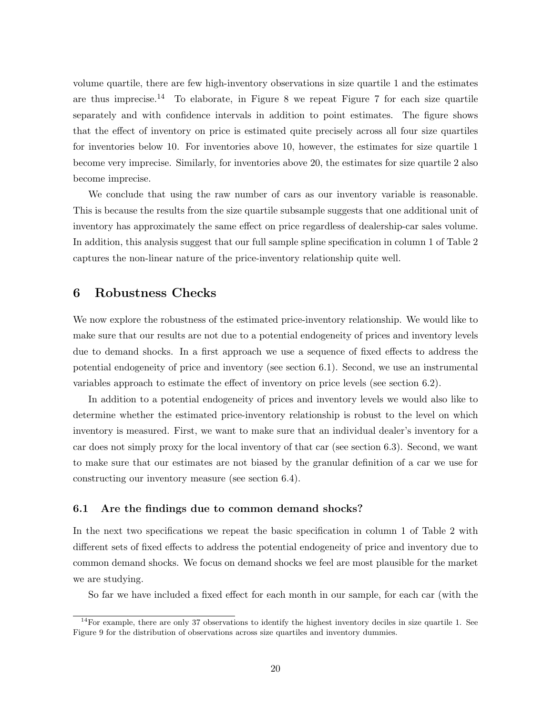volume quartile, there are few high-inventory observations in size quartile 1 and the estimates are thus imprecise.<sup>14</sup> To elaborate, in Figure 8 we repeat Figure 7 for each size quartile separately and with confidence intervals in addition to point estimates. The figure shows that the effect of inventory on price is estimated quite precisely across all four size quartiles for inventories below 10. For inventories above 10, however, the estimates for size quartile 1 become very imprecise. Similarly, for inventories above 20, the estimates for size quartile 2 also become imprecise.

We conclude that using the raw number of cars as our inventory variable is reasonable. This is because the results from the size quartile subsample suggests that one additional unit of inventory has approximately the same effect on price regardless of dealership-car sales volume. In addition, this analysis suggest that our full sample spline specification in column 1 of Table 2 captures the non-linear nature of the price-inventory relationship quite well.

### 6 Robustness Checks

We now explore the robustness of the estimated price-inventory relationship. We would like to make sure that our results are not due to a potential endogeneity of prices and inventory levels due to demand shocks. In a first approach we use a sequence of fixed effects to address the potential endogeneity of price and inventory (see section 6.1). Second, we use an instrumental variables approach to estimate the effect of inventory on price levels (see section 6.2).

In addition to a potential endogeneity of prices and inventory levels we would also like to determine whether the estimated price-inventory relationship is robust to the level on which inventory is measured. First, we want to make sure that an individual dealer's inventory for a car does not simply proxy for the local inventory of that car (see section 6.3). Second, we want to make sure that our estimates are not biased by the granular definition of a car we use for constructing our inventory measure (see section 6.4).

#### 6.1 Are the findings due to common demand shocks?

In the next two specifications we repeat the basic specification in column 1 of Table 2 with different sets of fixed effects to address the potential endogeneity of price and inventory due to common demand shocks. We focus on demand shocks we feel are most plausible for the market we are studying.

So far we have included a fixed effect for each month in our sample, for each car (with the

 $14$ For example, there are only 37 observations to identify the highest inventory deciles in size quartile 1. See Figure 9 for the distribution of observations across size quartiles and inventory dummies.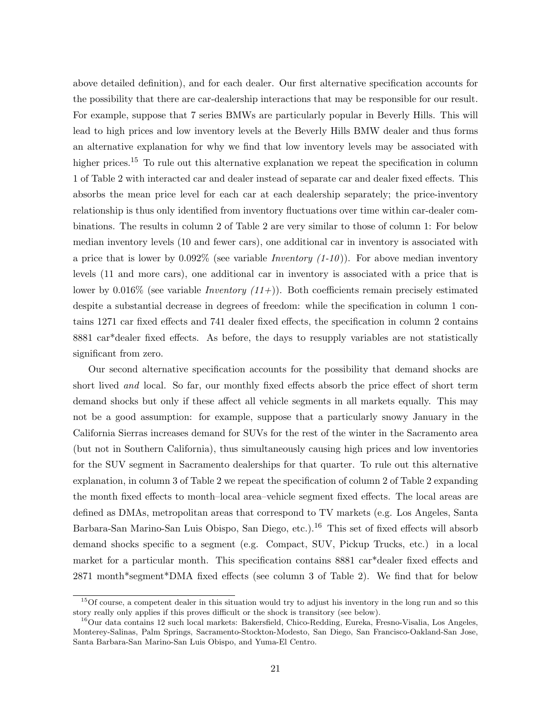above detailed definition), and for each dealer. Our first alternative specification accounts for the possibility that there are car-dealership interactions that may be responsible for our result. For example, suppose that 7 series BMWs are particularly popular in Beverly Hills. This will lead to high prices and low inventory levels at the Beverly Hills BMW dealer and thus forms an alternative explanation for why we find that low inventory levels may be associated with higher prices.<sup>15</sup> To rule out this alternative explanation we repeat the specification in column 1 of Table 2 with interacted car and dealer instead of separate car and dealer fixed effects. This absorbs the mean price level for each car at each dealership separately; the price-inventory relationship is thus only identified from inventory fluctuations over time within car-dealer combinations. The results in column 2 of Table 2 are very similar to those of column 1: For below median inventory levels (10 and fewer cars), one additional car in inventory is associated with a price that is lower by  $0.092\%$  (see variable *Inventory*  $(1-10)$ ). For above median inventory levels (11 and more cars), one additional car in inventory is associated with a price that is lower by  $0.016\%$  (see variable *Inventory (11+)*). Both coefficients remain precisely estimated despite a substantial decrease in degrees of freedom: while the specification in column 1 contains 1271 car fixed effects and 741 dealer fixed effects, the specification in column 2 contains 8881 car\*dealer fixed effects. As before, the days to resupply variables are not statistically significant from zero.

Our second alternative specification accounts for the possibility that demand shocks are short lived and local. So far, our monthly fixed effects absorb the price effect of short term demand shocks but only if these affect all vehicle segments in all markets equally. This may not be a good assumption: for example, suppose that a particularly snowy January in the California Sierras increases demand for SUVs for the rest of the winter in the Sacramento area (but not in Southern California), thus simultaneously causing high prices and low inventories for the SUV segment in Sacramento dealerships for that quarter. To rule out this alternative explanation, in column 3 of Table 2 we repeat the specification of column 2 of Table 2 expanding the month fixed effects to month–local area–vehicle segment fixed effects. The local areas are defined as DMAs, metropolitan areas that correspond to TV markets (e.g. Los Angeles, Santa Barbara-San Marino-San Luis Obispo, San Diego, etc.).<sup>16</sup> This set of fixed effects will absorb demand shocks specific to a segment (e.g. Compact, SUV, Pickup Trucks, etc.) in a local market for a particular month. This specification contains 8881 car\*dealer fixed effects and 2871 month\*segment\*DMA fixed effects (see column 3 of Table 2). We find that for below

<sup>&</sup>lt;sup>15</sup>Of course, a competent dealer in this situation would try to adjust his inventory in the long run and so this story really only applies if this proves difficult or the shock is transitory (see below).

<sup>&</sup>lt;sup>16</sup>Our data contains 12 such local markets: Bakersfield, Chico-Redding, Eureka, Fresno-Visalia, Los Angeles, Monterey-Salinas, Palm Springs, Sacramento-Stockton-Modesto, San Diego, San Francisco-Oakland-San Jose, Santa Barbara-San Marino-San Luis Obispo, and Yuma-El Centro.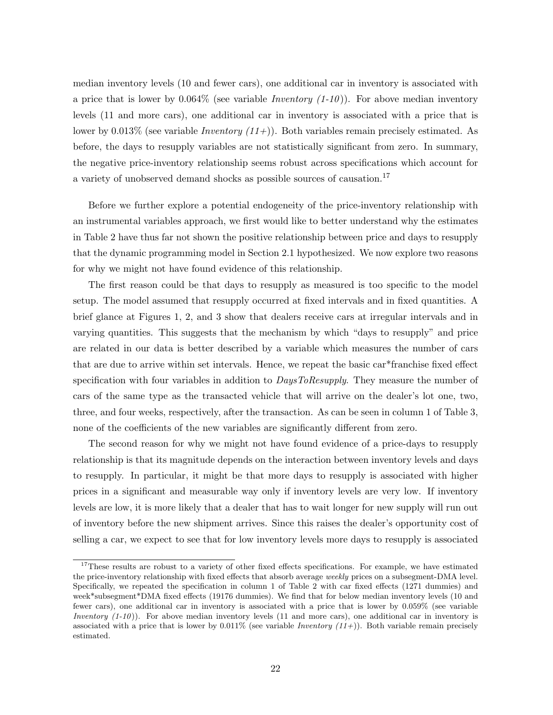median inventory levels (10 and fewer cars), one additional car in inventory is associated with a price that is lower by  $0.064\%$  (see variable *Inventory*  $(1-10)$ ). For above median inventory levels (11 and more cars), one additional car in inventory is associated with a price that is lower by 0.013% (see variable *Inventory (11+)*). Both variables remain precisely estimated. As before, the days to resupply variables are not statistically significant from zero. In summary, the negative price-inventory relationship seems robust across specifications which account for a variety of unobserved demand shocks as possible sources of causation.<sup>17</sup>

Before we further explore a potential endogeneity of the price-inventory relationship with an instrumental variables approach, we first would like to better understand why the estimates in Table 2 have thus far not shown the positive relationship between price and days to resupply that the dynamic programming model in Section 2.1 hypothesized. We now explore two reasons for why we might not have found evidence of this relationship.

The first reason could be that days to resupply as measured is too specific to the model setup. The model assumed that resupply occurred at fixed intervals and in fixed quantities. A brief glance at Figures 1, 2, and 3 show that dealers receive cars at irregular intervals and in varying quantities. This suggests that the mechanism by which "days to resupply" and price are related in our data is better described by a variable which measures the number of cars that are due to arrive within set intervals. Hence, we repeat the basic car\*franchise fixed effect specification with four variables in addition to  $DaysToResupply$ . They measure the number of cars of the same type as the transacted vehicle that will arrive on the dealer's lot one, two, three, and four weeks, respectively, after the transaction. As can be seen in column 1 of Table 3, none of the coefficients of the new variables are significantly different from zero.

The second reason for why we might not have found evidence of a price-days to resupply relationship is that its magnitude depends on the interaction between inventory levels and days to resupply. In particular, it might be that more days to resupply is associated with higher prices in a significant and measurable way only if inventory levels are very low. If inventory levels are low, it is more likely that a dealer that has to wait longer for new supply will run out of inventory before the new shipment arrives. Since this raises the dealer's opportunity cost of selling a car, we expect to see that for low inventory levels more days to resupply is associated

<sup>&</sup>lt;sup>17</sup>These results are robust to a variety of other fixed effects specifications. For example, we have estimated the price-inventory relationship with fixed effects that absorb average weekly prices on a subsegment-DMA level. Specifically, we repeated the specification in column 1 of Table 2 with car fixed effects (1271 dummies) and week\*subsegment\*DMA fixed effects (19176 dummies). We find that for below median inventory levels (10 and fewer cars), one additional car in inventory is associated with a price that is lower by 0.059% (see variable *Inventory*  $(1-10)$ ). For above median inventory levels  $(11$  and more cars), one additional car in inventory is associated with a price that is lower by  $0.011\%$  (see variable *Inventory (11+)*). Both variable remain precisely estimated.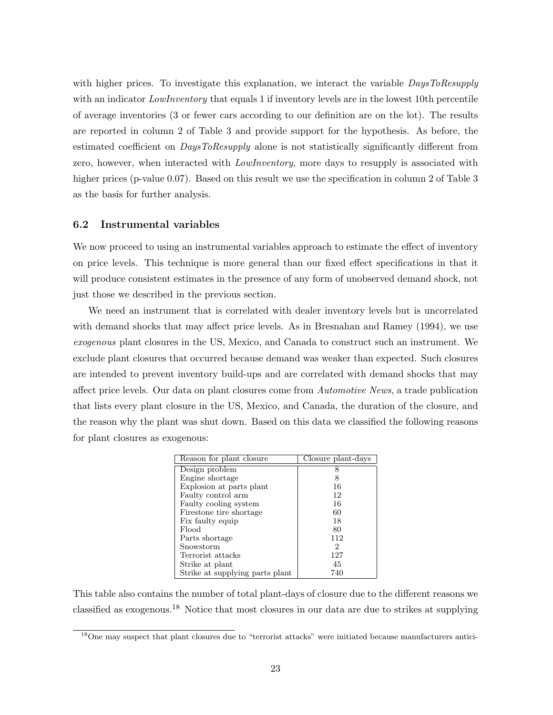with higher prices. To investigate this explanation, we interact the variable DaysToResupply with an indicator *LowInventory* that equals 1 if inventory levels are in the lowest 10th percentile of average inventories (3 or fewer cars according to our definition are on the lot). The results are reported in column 2 of Table 3 and provide support for the hypothesis. As before, the estimated coefficient on *DaysToResupply* alone is not statistically significantly different from zero, however, when interacted with *LowInventory*, more days to resupply is associated with higher prices (p-value 0.07). Based on this result we use the specification in column 2 of Table 3 as the basis for further analysis.

#### 6.2 Instrumental variables

We now proceed to using an instrumental variables approach to estimate the effect of inventory on price levels. This technique is more general than our fixed effect specifications in that it will produce consistent estimates in the presence of any form of unobserved demand shock, not just those we described in the previous section.

We need an instrument that is correlated with dealer inventory levels but is uncorrelated with demand shocks that may affect price levels. As in Bresnahan and Ramey (1994), we use exogenous plant closures in the US, Mexico, and Canada to construct such an instrument. We exclude plant closures that occurred because demand was weaker than expected. Such closures are intended to prevent inventory build-ups and are correlated with demand shocks that may affect price levels. Our data on plant closures come from Automotive News, a trade publication that lists every plant closure in the US, Mexico, and Canada, the duration of the closure, and the reason why the plant was shut down. Based on this data we classified the following reasons for plant closures as exogenous:

| Reason for plant closure        | Closure plant-days |
|---------------------------------|--------------------|
| Design problem                  | 8                  |
| Engine shortage                 | 8                  |
| Explosion at parts plant        | 16                 |
| Faulty control arm              | 12                 |
| Faulty cooling system           | 16                 |
| Firestone tire shortage         | 60                 |
| Fix faulty equip                | 18                 |
| Flood                           | 80                 |
| Parts shortage                  | 112                |
| Snowstorm                       | 2                  |
| Terrorist attacks               | 127                |
| Strike at plant                 | 45                 |
| Strike at supplying parts plant | 740                |

This table also contains the number of total plant-days of closure due to the different reasons we classified as exogenous.<sup>18</sup> Notice that most closures in our data are due to strikes at supplying

<sup>&</sup>lt;sup>18</sup>One may suspect that plant closures due to "terrorist attacks" were initiated because manufacturers antici-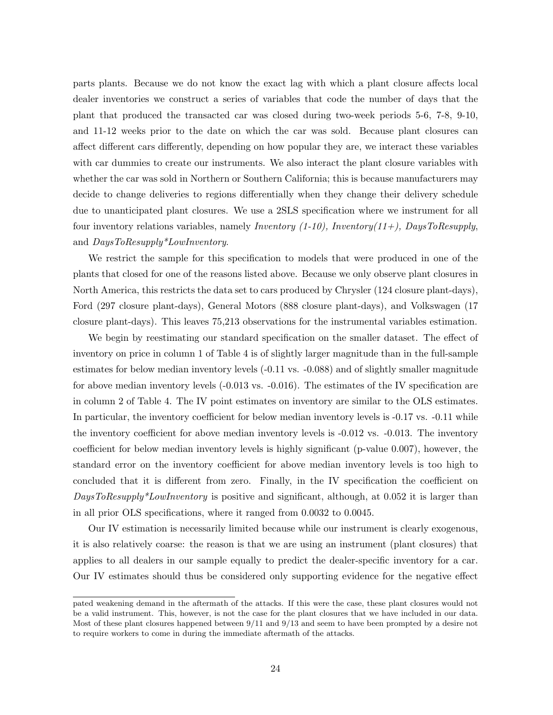parts plants. Because we do not know the exact lag with which a plant closure affects local dealer inventories we construct a series of variables that code the number of days that the plant that produced the transacted car was closed during two-week periods 5-6, 7-8, 9-10, and 11-12 weeks prior to the date on which the car was sold. Because plant closures can affect different cars differently, depending on how popular they are, we interact these variables with car dummies to create our instruments. We also interact the plant closure variables with whether the car was sold in Northern or Southern California; this is because manufacturers may decide to change deliveries to regions differentially when they change their delivery schedule due to unanticipated plant closures. We use a 2SLS specification where we instrument for all four inventory relations variables, namely Inventory  $(1-10)$ , Inventory $(11+)$ , DaysToResupply, and DaysToResupply\*LowInventory.

We restrict the sample for this specification to models that were produced in one of the plants that closed for one of the reasons listed above. Because we only observe plant closures in North America, this restricts the data set to cars produced by Chrysler (124 closure plant-days), Ford (297 closure plant-days), General Motors (888 closure plant-days), and Volkswagen (17 closure plant-days). This leaves 75,213 observations for the instrumental variables estimation.

We begin by reestimating our standard specification on the smaller dataset. The effect of inventory on price in column 1 of Table 4 is of slightly larger magnitude than in the full-sample estimates for below median inventory levels (-0.11 vs. -0.088) and of slightly smaller magnitude for above median inventory levels (-0.013 vs. -0.016). The estimates of the IV specification are in column 2 of Table 4. The IV point estimates on inventory are similar to the OLS estimates. In particular, the inventory coefficient for below median inventory levels is -0.17 vs. -0.11 while the inventory coefficient for above median inventory levels is -0.012 vs. -0.013. The inventory coefficient for below median inventory levels is highly significant (p-value 0.007), however, the standard error on the inventory coefficient for above median inventory levels is too high to concluded that it is different from zero. Finally, in the IV specification the coefficient on DaysToResupply\*LowInventory is positive and significant, although, at 0.052 it is larger than in all prior OLS specifications, where it ranged from 0.0032 to 0.0045.

Our IV estimation is necessarily limited because while our instrument is clearly exogenous, it is also relatively coarse: the reason is that we are using an instrument (plant closures) that applies to all dealers in our sample equally to predict the dealer-specific inventory for a car. Our IV estimates should thus be considered only supporting evidence for the negative effect

pated weakening demand in the aftermath of the attacks. If this were the case, these plant closures would not be a valid instrument. This, however, is not the case for the plant closures that we have included in our data. Most of these plant closures happened between 9/11 and 9/13 and seem to have been prompted by a desire not to require workers to come in during the immediate aftermath of the attacks.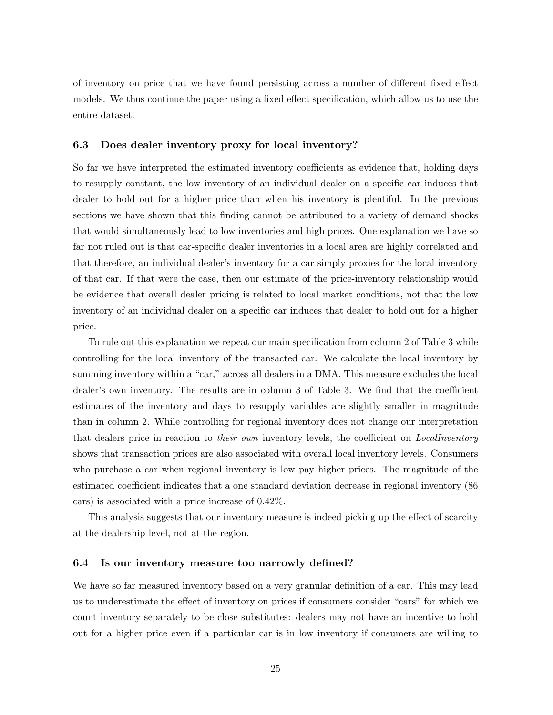of inventory on price that we have found persisting across a number of different fixed effect models. We thus continue the paper using a fixed effect specification, which allow us to use the entire dataset.

### 6.3 Does dealer inventory proxy for local inventory?

So far we have interpreted the estimated inventory coefficients as evidence that, holding days to resupply constant, the low inventory of an individual dealer on a specific car induces that dealer to hold out for a higher price than when his inventory is plentiful. In the previous sections we have shown that this finding cannot be attributed to a variety of demand shocks that would simultaneously lead to low inventories and high prices. One explanation we have so far not ruled out is that car-specific dealer inventories in a local area are highly correlated and that therefore, an individual dealer's inventory for a car simply proxies for the local inventory of that car. If that were the case, then our estimate of the price-inventory relationship would be evidence that overall dealer pricing is related to local market conditions, not that the low inventory of an individual dealer on a specific car induces that dealer to hold out for a higher price.

To rule out this explanation we repeat our main specification from column 2 of Table 3 while controlling for the local inventory of the transacted car. We calculate the local inventory by summing inventory within a "car," across all dealers in a DMA. This measure excludes the focal dealer's own inventory. The results are in column 3 of Table 3. We find that the coefficient estimates of the inventory and days to resupply variables are slightly smaller in magnitude than in column 2. While controlling for regional inventory does not change our interpretation that dealers price in reaction to *their own* inventory levels, the coefficient on *LocalInventory* shows that transaction prices are also associated with overall local inventory levels. Consumers who purchase a car when regional inventory is low pay higher prices. The magnitude of the estimated coefficient indicates that a one standard deviation decrease in regional inventory (86 cars) is associated with a price increase of 0.42%.

This analysis suggests that our inventory measure is indeed picking up the effect of scarcity at the dealership level, not at the region.

#### 6.4 Is our inventory measure too narrowly defined?

We have so far measured inventory based on a very granular definition of a car. This may lead us to underestimate the effect of inventory on prices if consumers consider "cars" for which we count inventory separately to be close substitutes: dealers may not have an incentive to hold out for a higher price even if a particular car is in low inventory if consumers are willing to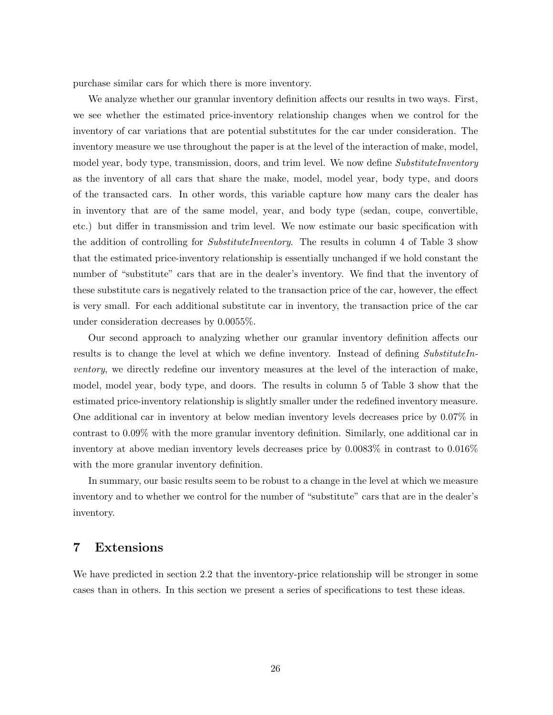purchase similar cars for which there is more inventory.

We analyze whether our granular inventory definition affects our results in two ways. First, we see whether the estimated price-inventory relationship changes when we control for the inventory of car variations that are potential substitutes for the car under consideration. The inventory measure we use throughout the paper is at the level of the interaction of make, model, model year, body type, transmission, doors, and trim level. We now define SubstituteInventory as the inventory of all cars that share the make, model, model year, body type, and doors of the transacted cars. In other words, this variable capture how many cars the dealer has in inventory that are of the same model, year, and body type (sedan, coupe, convertible, etc.) but differ in transmission and trim level. We now estimate our basic specification with the addition of controlling for *SubstituteInventory*. The results in column 4 of Table 3 show that the estimated price-inventory relationship is essentially unchanged if we hold constant the number of "substitute" cars that are in the dealer's inventory. We find that the inventory of these substitute cars is negatively related to the transaction price of the car, however, the effect is very small. For each additional substitute car in inventory, the transaction price of the car under consideration decreases by 0.0055%.

Our second approach to analyzing whether our granular inventory definition affects our results is to change the level at which we define inventory. Instead of defining SubstituteInventory, we directly redefine our inventory measures at the level of the interaction of make, model, model year, body type, and doors. The results in column 5 of Table 3 show that the estimated price-inventory relationship is slightly smaller under the redefined inventory measure. One additional car in inventory at below median inventory levels decreases price by 0.07% in contrast to 0.09% with the more granular inventory definition. Similarly, one additional car in inventory at above median inventory levels decreases price by 0.0083% in contrast to 0.016% with the more granular inventory definition.

In summary, our basic results seem to be robust to a change in the level at which we measure inventory and to whether we control for the number of "substitute" cars that are in the dealer's inventory.

## 7 Extensions

We have predicted in section 2.2 that the inventory-price relationship will be stronger in some cases than in others. In this section we present a series of specifications to test these ideas.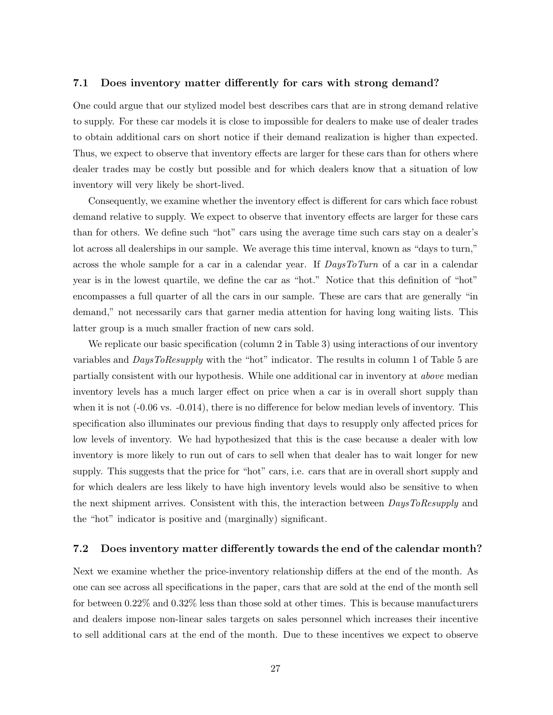#### 7.1 Does inventory matter differently for cars with strong demand?

One could argue that our stylized model best describes cars that are in strong demand relative to supply. For these car models it is close to impossible for dealers to make use of dealer trades to obtain additional cars on short notice if their demand realization is higher than expected. Thus, we expect to observe that inventory effects are larger for these cars than for others where dealer trades may be costly but possible and for which dealers know that a situation of low inventory will very likely be short-lived.

Consequently, we examine whether the inventory effect is different for cars which face robust demand relative to supply. We expect to observe that inventory effects are larger for these cars than for others. We define such "hot" cars using the average time such cars stay on a dealer's lot across all dealerships in our sample. We average this time interval, known as "days to turn," across the whole sample for a car in a calendar year. If DaysToTurn of a car in a calendar year is in the lowest quartile, we define the car as "hot." Notice that this definition of "hot" encompasses a full quarter of all the cars in our sample. These are cars that are generally "in demand," not necessarily cars that garner media attention for having long waiting lists. This latter group is a much smaller fraction of new cars sold.

We replicate our basic specification (column 2 in Table 3) using interactions of our inventory variables and *DaysToResupply* with the "hot" indicator. The results in column 1 of Table 5 are partially consistent with our hypothesis. While one additional car in inventory at above median inventory levels has a much larger effect on price when a car is in overall short supply than when it is not  $(-0.06 \text{ vs. } -0.014)$ , there is no difference for below median levels of inventory. This specification also illuminates our previous finding that days to resupply only affected prices for low levels of inventory. We had hypothesized that this is the case because a dealer with low inventory is more likely to run out of cars to sell when that dealer has to wait longer for new supply. This suggests that the price for "hot" cars, i.e. cars that are in overall short supply and for which dealers are less likely to have high inventory levels would also be sensitive to when the next shipment arrives. Consistent with this, the interaction between *DaysToResupply* and the "hot" indicator is positive and (marginally) significant.

#### 7.2 Does inventory matter differently towards the end of the calendar month?

Next we examine whether the price-inventory relationship differs at the end of the month. As one can see across all specifications in the paper, cars that are sold at the end of the month sell for between 0.22% and 0.32% less than those sold at other times. This is because manufacturers and dealers impose non-linear sales targets on sales personnel which increases their incentive to sell additional cars at the end of the month. Due to these incentives we expect to observe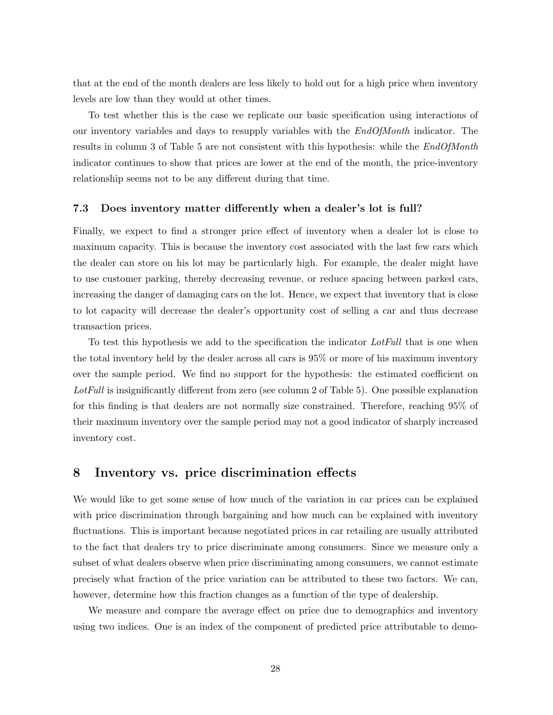that at the end of the month dealers are less likely to hold out for a high price when inventory levels are low than they would at other times.

To test whether this is the case we replicate our basic specification using interactions of our inventory variables and days to resupply variables with the EndOfMonth indicator. The results in column 3 of Table 5 are not consistent with this hypothesis: while the  $EndOfMonth$ indicator continues to show that prices are lower at the end of the month, the price-inventory relationship seems not to be any different during that time.

#### 7.3 Does inventory matter differently when a dealer's lot is full?

Finally, we expect to find a stronger price effect of inventory when a dealer lot is close to maximum capacity. This is because the inventory cost associated with the last few cars which the dealer can store on his lot may be particularly high. For example, the dealer might have to use customer parking, thereby decreasing revenue, or reduce spacing between parked cars, increasing the danger of damaging cars on the lot. Hence, we expect that inventory that is close to lot capacity will decrease the dealer's opportunity cost of selling a car and thus decrease transaction prices.

To test this hypothesis we add to the specification the indicator LotFull that is one when the total inventory held by the dealer across all cars is 95% or more of his maximum inventory over the sample period. We find no support for the hypothesis: the estimated coefficient on LotFull is insignificantly different from zero (see column 2 of Table 5). One possible explanation for this finding is that dealers are not normally size constrained. Therefore, reaching 95% of their maximum inventory over the sample period may not a good indicator of sharply increased inventory cost.

## 8 Inventory vs. price discrimination effects

We would like to get some sense of how much of the variation in car prices can be explained with price discrimination through bargaining and how much can be explained with inventory fluctuations. This is important because negotiated prices in car retailing are usually attributed to the fact that dealers try to price discriminate among consumers. Since we measure only a subset of what dealers observe when price discriminating among consumers, we cannot estimate precisely what fraction of the price variation can be attributed to these two factors. We can, however, determine how this fraction changes as a function of the type of dealership.

We measure and compare the average effect on price due to demographics and inventory using two indices. One is an index of the component of predicted price attributable to demo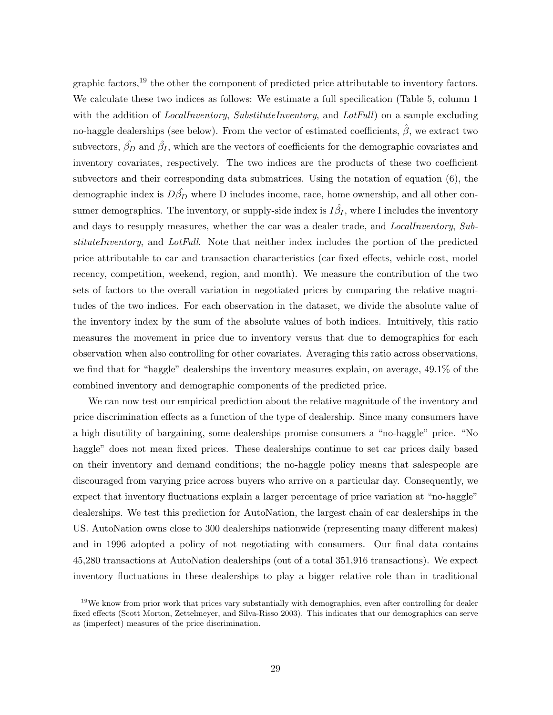graphic factors,<sup>19</sup> the other the component of predicted price attributable to inventory factors. We calculate these two indices as follows: We estimate a full specification (Table 5, column 1) with the addition of *LocalInventory, SubstituteInventory*, and *LotFull*) on a sample excluding no-haggle dealerships (see below). From the vector of estimated coefficients,  $\hat{\beta}$ , we extract two subvectors,  $\hat{\beta_D}$  and  $\hat{\beta_I}$ , which are the vectors of coefficients for the demographic covariates and inventory covariates, respectively. The two indices are the products of these two coefficient subvectors and their corresponding data submatrices. Using the notation of equation (6), the demographic index is  $D\hat{\beta}_D$  where D includes income, race, home ownership, and all other consumer demographics. The inventory, or supply-side index is  $I\hat{\beta_I},$  where I includes the inventory and days to resupply measures, whether the car was a dealer trade, and LocalInventory, SubstituteInventory, and LotFull. Note that neither index includes the portion of the predicted price attributable to car and transaction characteristics (car fixed effects, vehicle cost, model recency, competition, weekend, region, and month). We measure the contribution of the two sets of factors to the overall variation in negotiated prices by comparing the relative magnitudes of the two indices. For each observation in the dataset, we divide the absolute value of the inventory index by the sum of the absolute values of both indices. Intuitively, this ratio measures the movement in price due to inventory versus that due to demographics for each observation when also controlling for other covariates. Averaging this ratio across observations, we find that for "haggle" dealerships the inventory measures explain, on average, 49.1% of the combined inventory and demographic components of the predicted price.

We can now test our empirical prediction about the relative magnitude of the inventory and price discrimination effects as a function of the type of dealership. Since many consumers have a high disutility of bargaining, some dealerships promise consumers a "no-haggle" price. "No haggle" does not mean fixed prices. These dealerships continue to set car prices daily based on their inventory and demand conditions; the no-haggle policy means that salespeople are discouraged from varying price across buyers who arrive on a particular day. Consequently, we expect that inventory fluctuations explain a larger percentage of price variation at "no-haggle" dealerships. We test this prediction for AutoNation, the largest chain of car dealerships in the US. AutoNation owns close to 300 dealerships nationwide (representing many different makes) and in 1996 adopted a policy of not negotiating with consumers. Our final data contains 45,280 transactions at AutoNation dealerships (out of a total 351,916 transactions). We expect inventory fluctuations in these dealerships to play a bigger relative role than in traditional

<sup>&</sup>lt;sup>19</sup>We know from prior work that prices vary substantially with demographics, even after controlling for dealer fixed effects (Scott Morton, Zettelmeyer, and Silva-Risso 2003). This indicates that our demographics can serve as (imperfect) measures of the price discrimination.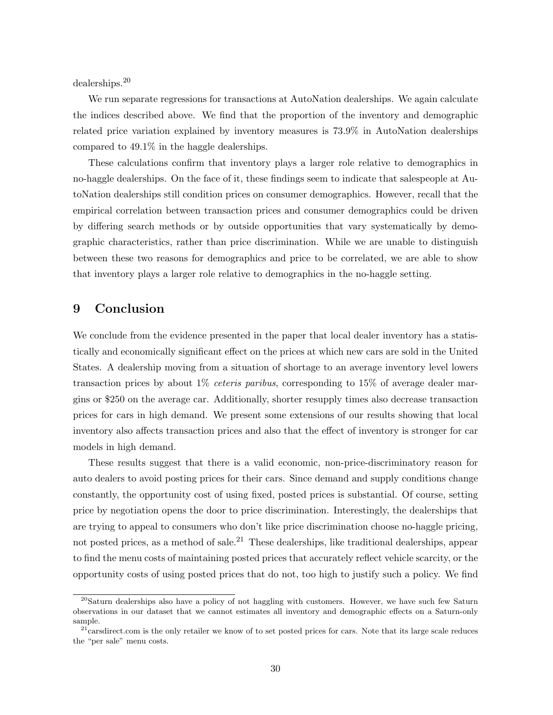dealerships.<sup>20</sup>

We run separate regressions for transactions at AutoNation dealerships. We again calculate the indices described above. We find that the proportion of the inventory and demographic related price variation explained by inventory measures is 73.9% in AutoNation dealerships compared to 49.1% in the haggle dealerships.

These calculations confirm that inventory plays a larger role relative to demographics in no-haggle dealerships. On the face of it, these findings seem to indicate that salespeople at AutoNation dealerships still condition prices on consumer demographics. However, recall that the empirical correlation between transaction prices and consumer demographics could be driven by differing search methods or by outside opportunities that vary systematically by demographic characteristics, rather than price discrimination. While we are unable to distinguish between these two reasons for demographics and price to be correlated, we are able to show that inventory plays a larger role relative to demographics in the no-haggle setting.

## 9 Conclusion

We conclude from the evidence presented in the paper that local dealer inventory has a statistically and economically significant effect on the prices at which new cars are sold in the United States. A dealership moving from a situation of shortage to an average inventory level lowers transaction prices by about  $1\%$  *ceteris paribus*, corresponding to  $15\%$  of average dealer margins or \$250 on the average car. Additionally, shorter resupply times also decrease transaction prices for cars in high demand. We present some extensions of our results showing that local inventory also affects transaction prices and also that the effect of inventory is stronger for car models in high demand.

These results suggest that there is a valid economic, non-price-discriminatory reason for auto dealers to avoid posting prices for their cars. Since demand and supply conditions change constantly, the opportunity cost of using fixed, posted prices is substantial. Of course, setting price by negotiation opens the door to price discrimination. Interestingly, the dealerships that are trying to appeal to consumers who don't like price discrimination choose no-haggle pricing, not posted prices, as a method of sale.<sup>21</sup> These dealerships, like traditional dealerships, appear to find the menu costs of maintaining posted prices that accurately reflect vehicle scarcity, or the opportunity costs of using posted prices that do not, too high to justify such a policy. We find

<sup>&</sup>lt;sup>20</sup>Saturn dealerships also have a policy of not haggling with customers. However, we have such few Saturn observations in our dataset that we cannot estimates all inventory and demographic effects on a Saturn-only sample.

 $^{21}$ carsdirect.com is the only retailer we know of to set posted prices for cars. Note that its large scale reduces the "per sale" menu costs.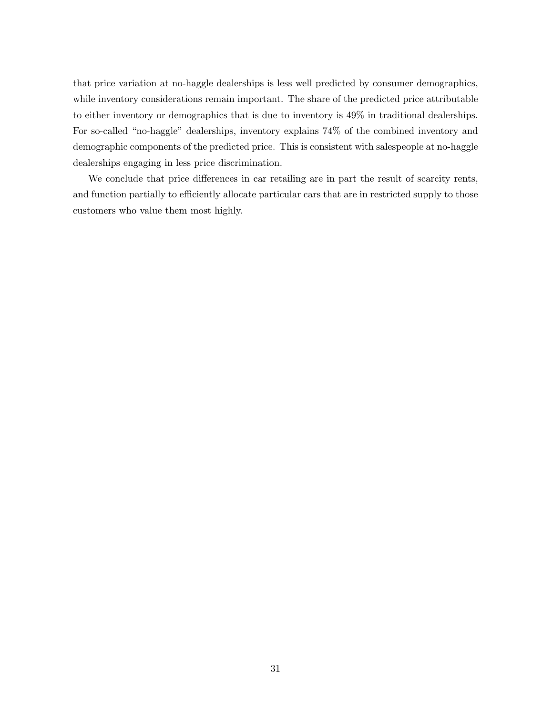that price variation at no-haggle dealerships is less well predicted by consumer demographics, while inventory considerations remain important. The share of the predicted price attributable to either inventory or demographics that is due to inventory is 49% in traditional dealerships. For so-called "no-haggle" dealerships, inventory explains 74% of the combined inventory and demographic components of the predicted price. This is consistent with salespeople at no-haggle dealerships engaging in less price discrimination.

We conclude that price differences in car retailing are in part the result of scarcity rents, and function partially to efficiently allocate particular cars that are in restricted supply to those customers who value them most highly.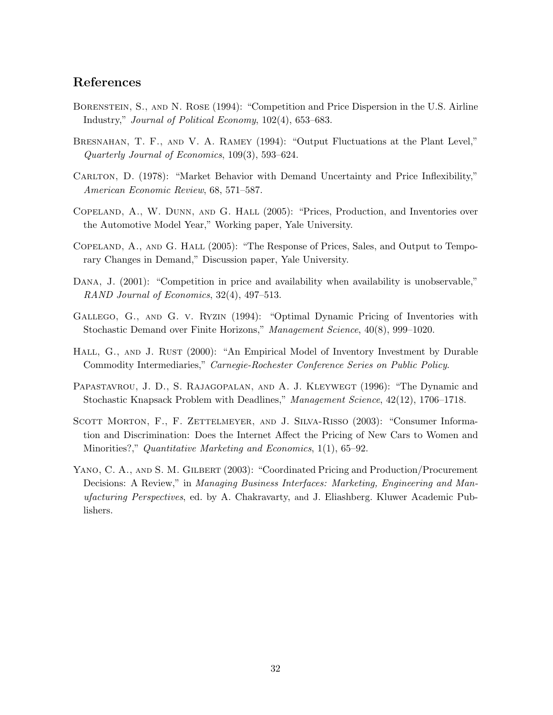## References

- Borenstein, S., and N. Rose (1994): "Competition and Price Dispersion in the U.S. Airline Industry," Journal of Political Economy, 102(4), 653–683.
- BRESNAHAN, T. F., AND V. A. RAMEY (1994): "Output Fluctuations at the Plant Level," Quarterly Journal of Economics, 109(3), 593–624.
- CARLTON, D. (1978): "Market Behavior with Demand Uncertainty and Price Inflexibility," American Economic Review, 68, 571–587.
- Copeland, A., W. Dunn, and G. Hall (2005): "Prices, Production, and Inventories over the Automotive Model Year," Working paper, Yale University.
- Copeland, A., and G. Hall (2005): "The Response of Prices, Sales, and Output to Temporary Changes in Demand," Discussion paper, Yale University.
- DANA, J.  $(2001)$ : "Competition in price and availability when availability is unobservable," RAND Journal of Economics, 32(4), 497–513.
- Gallego, G., and G. v. Ryzin (1994): "Optimal Dynamic Pricing of Inventories with Stochastic Demand over Finite Horizons," Management Science, 40(8), 999–1020.
- HALL, G., AND J. RUST (2000): "An Empirical Model of Inventory Investment by Durable Commodity Intermediaries," Carnegie-Rochester Conference Series on Public Policy.
- PAPASTAVROU, J. D., S. RAJAGOPALAN, AND A. J. KLEYWEGT (1996): "The Dynamic and Stochastic Knapsack Problem with Deadlines," Management Science, 42(12), 1706–1718.
- SCOTT MORTON, F., F. ZETTELMEYER, AND J. SILVA-RISSO (2003): "Consumer Information and Discrimination: Does the Internet Affect the Pricing of New Cars to Women and Minorities?," Quantitative Marketing and Economics, 1(1), 65–92.
- YANO, C. A., AND S. M. GILBERT (2003): "Coordinated Pricing and Production/Procurement Decisions: A Review," in Managing Business Interfaces: Marketing, Engineering and Manufacturing Perspectives, ed. by A. Chakravarty, and J. Eliashberg. Kluwer Academic Publishers.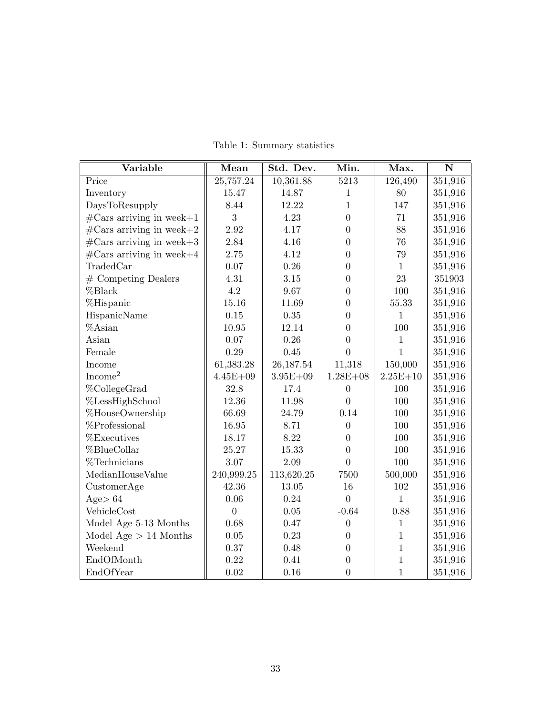| Variable                           | Mean           | Std. Dev.    | Min.             | Max.         | $\mathbf N$ |
|------------------------------------|----------------|--------------|------------------|--------------|-------------|
| Price                              | 25,757.24      | 10,361.88    | 5213             | 126,490      | 351,916     |
| Inventory                          | 15.47          | 14.87        | $\mathbf{1}$     | 80           | 351,916     |
| DaysToResupply                     | 8.44           | 12.22        | $\mathbf{1}$     | 147          | 351,916     |
| $\#\text{Cars arriving in week+1}$ | 3              | 4.23         | $\overline{0}$   | $71\,$       | 351,916     |
| $\#\text{Cars arriving in week+2}$ | 2.92           | 4.17         | $\overline{0}$   | 88           | 351,916     |
| $\#\text{Cars arriving in week+3}$ | 2.84           | 4.16         | $\overline{0}$   | 76           | 351,916     |
| $\#\text{Cars arriving in week+4}$ | 2.75           | 4.12         | $\overline{0}$   | 79           | 351,916     |
| TradedCar                          | 0.07           | 0.26         | $\boldsymbol{0}$ | $\mathbf{1}$ | 351,916     |
| $#$ Competing Dealers              | 4.31           | 3.15         | $\overline{0}$   | 23           | 351903      |
| %Black                             | 4.2            | 9.67         | $\overline{0}$   | 100          | 351,916     |
| %Hispanic                          | 15.16          | 11.69        | $\overline{0}$   | 55.33        | 351,916     |
| HispanicName                       | 0.15           | $0.35\,$     | $\overline{0}$   | $\mathbf{1}$ | 351,916     |
| %Asian                             | 10.95          | 12.14        | $\boldsymbol{0}$ | 100          | 351,916     |
| Asian                              | 0.07           | 0.26         | $\overline{0}$   | $\mathbf{1}$ | 351,916     |
| Female                             | 0.29           | 0.45         | $\overline{0}$   | $\mathbf{1}$ | 351,916     |
| Income                             | 61,383.28      | 26,187.54    | 11,318           | 150,000      | 351,916     |
| Income <sup>2</sup>                | $4.45E + 09$   | $3.95E + 09$ | $1.28E + 08$     | $2.25E + 10$ | 351,916     |
| %CollegeGrad                       | 32.8           | 17.4         | $\boldsymbol{0}$ | 100          | 351,916     |
| %LessHighSchool                    | 12.36          | 11.98        | $\overline{0}$   | 100          | 351,916     |
| %HouseOwnership                    | 66.69          | 24.79        | 0.14             | 100          | 351,916     |
| %Professional                      | 16.95          | 8.71         | $\theta$         | 100          | 351,916     |
| %Executives                        | 18.17          | 8.22         | $\overline{0}$   | 100          | 351,916     |
| %BlueCollar                        | 25.27          | 15.33        | $\overline{0}$   | 100          | 351,916     |
| %Technicians                       | 3.07           | 2.09         | $\overline{0}$   | 100          | 351,916     |
| MedianHouseValue                   | 240,999.25     | 113,620.25   | 7500             | 500,000      | 351,916     |
| CustomerAge                        | 42.36          | $13.05\,$    | 16               | 102          | 351,916     |
| Age $> 64$                         | 0.06           | 0.24         | $\overline{0}$   | $\mathbf{1}$ | 351,916     |
| VehicleCost                        | $\overline{0}$ | $0.05\,$     | $-0.64$          | 0.88         | 351,916     |
| Model Age 5-13 Months              | 0.68           | 0.47         | $\overline{0}$   | $\mathbf{1}$ | 351,916     |
| Model Age $> 14$ Months            | $0.05\,$       | 0.23         | $\overline{0}$   | $\mathbf{1}$ | 351,916     |
| Weekend                            | 0.37           | 0.48         | $\boldsymbol{0}$ | $\mathbf{1}$ | 351,916     |
| EndOfMonth                         | 0.22           | 0.41         | $\boldsymbol{0}$ | $\mathbf{1}$ | 351,916     |
| EndOfYear                          | 0.02           | 0.16         | $\overline{0}$   | $\mathbf{1}$ | 351,916     |

Table 1: Summary statistics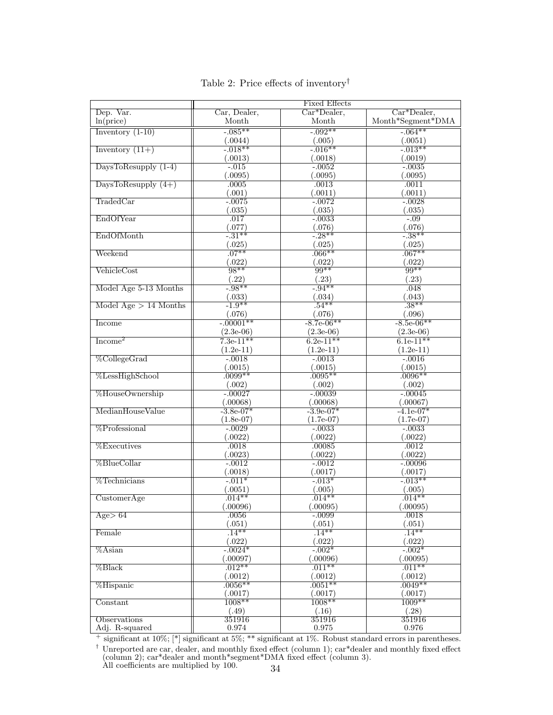|                         | <b>Fixed Effects</b>     |                               |                               |  |
|-------------------------|--------------------------|-------------------------------|-------------------------------|--|
| Dep. Var.               | Car, Dealer,             | $Car*Dealer,$                 | $Car*Dealer,$                 |  |
| ln(price)               | Month                    | Month                         | Month*Segment*DMA             |  |
| Inventory $(1-10)$      | $-0.085**$               | $-0.092**$                    | $-.064**$                     |  |
|                         | (.0044)                  | (.005)                        | (.0051)                       |  |
| Inventory $(11+)$       | $-0.018**$               | $-0.016**$                    | $-0.013**$                    |  |
|                         |                          |                               | (.0019)                       |  |
|                         | (.0013)                  | (.0018)                       |                               |  |
| DaysToResupply $(1-4)$  | $-.015$                  | $-0.0052$                     | $-0.0035$                     |  |
|                         | (.0095)                  | (.0095)                       | (.0095)                       |  |
| DaysToResupply $(4+)$   | .0005                    | .0013                         | .0011                         |  |
|                         | (.001)                   | (.0011)                       | (.0011)                       |  |
| TradedCar               | $-0.0075$                | $-0.0072$                     | $-0.0028$                     |  |
|                         | (.035)                   | (.035)                        | (.035)                        |  |
| EndOfYear               | .017                     | $-0.0033$                     | $-0.09$                       |  |
|                         | (.077)                   | (.076)                        | (.076)                        |  |
| EndOfMonth              | $-31**$                  | $-0.28**$                     | $-38**$                       |  |
|                         | $\frac{(.025)}{.07**}$   | (.025)                        | (.025)                        |  |
| Weekend                 |                          | $.066**$                      | $.067**$                      |  |
|                         | (.022)                   | (.022)                        | (.022)                        |  |
| VehicleCost             | $98**$                   | $99**$                        | $99**$                        |  |
|                         |                          | (.23)                         | (.23)                         |  |
| Model Age 5-13 Months   | $\frac{(.22)}{-.98**}$   | $-94**$                       | .048                          |  |
|                         |                          | (.034)                        |                               |  |
| Model Age $> 14$ Months | $\frac{(.033)}{-1.9**}$  | $.54***$                      | $\frac{(.043)}{.38**}$        |  |
|                         | (.076)                   | (.076)                        | (.096)                        |  |
| Income                  | $-0.0001**$              | $-8.7e-06**$                  | $-8.5e-06**$                  |  |
|                         | $(2.3e-06)$              |                               |                               |  |
| Income <sup>2</sup>     | $7.3e-11**$              | $\frac{(2.3e-06)}{6.2e-11**}$ | $\frac{(2.3e-06)}{6.1e-11**}$ |  |
|                         |                          |                               |                               |  |
|                         | $(1.2e-11)$              | $(1.2e-11)$                   | $(1.2e-11)$                   |  |
| %CollegeGrad            | $-0.018$                 | $-0.0013$                     | $-0.0016$                     |  |
|                         | (.0015)                  | (.0015)                       | (.0015)                       |  |
| %LessHighSchool         | $.0099**$                | $.0095**$                     | $.0096**$                     |  |
|                         | (.002)                   | (.002)                        | (.002)                        |  |
| %HouseOwnership         | $-0.00027$               | $-0.00039$                    | $-0.00045$                    |  |
|                         | (.00068)                 | (.00068)                      | (.00067)                      |  |
| MedianHouseValue        | $-3.8e-07*$              | $-3.9e-07*$                   | $-4.1e-07*$                   |  |
|                         | $(1.8e-07)$              | $(1.7e-07)$                   | $(1.7e-07)$                   |  |
| $%$ Professional        | $-0.0029$                | $-.0033$                      | $-.0033$                      |  |
|                         | (.0022)                  | (.0022)                       | (.0022)                       |  |
| <b>%Executives</b>      | .0018                    | .00085                        | .0012                         |  |
|                         | (.0023)                  | (.0022)                       | (.0022)                       |  |
| %BlueCollar             | $-0.0012$                | $-0.0012$                     | $-00096$                      |  |
|                         | $\frac{(.0018)}{-.011*}$ | (.0017)                       | (.0017)                       |  |
| $%$ Technicians         |                          | $-0.013*$                     | $-0.013**$                    |  |
|                         | (.0051)                  | (.005)                        | (.005)                        |  |
| $C$ ustomer $Age$       | $.014**$                 | $.014**$                      | $.014**$                      |  |
|                         | (.00096)                 | (.00095)                      | (.00095)                      |  |
| Age > 64                | .0056                    | $-.0099$                      | .0018                         |  |
|                         | (.051)                   | (.051)                        | (.051)                        |  |
| Female                  | $\frac{1}{14}$ **        | $\frac{1}{14}$ **             | $\frac{1}{14}$ **             |  |
|                         | (.022)                   | (.022)                        | (.022)                        |  |
| $\%$ Asian              | $-0.0024*$               | $-0.002*$                     | $-0.002*$                     |  |
|                         | (.00097)                 | (.00096)                      | (.00095)                      |  |
| %Black                  | $.012***$                | $.011**$                      | $.011***$                     |  |
|                         | (.0012)                  | (.0012)                       | (.0012)                       |  |
| %Hispanic               | $.0056**$                | $.0051**$                     | $.0049**$                     |  |
|                         | (.0017)                  | (.0017)                       | (.0017)                       |  |
| Constant                | $1008**$                 | $1008**$                      | $1009**$                      |  |
|                         | (.49)                    | (.16)                         | (.28)                         |  |
| <b>Observations</b>     | 351916                   | 351916                        | 351916                        |  |
| Adj. R-squared          | 0.974                    | 0.975                         | 0.976                         |  |
|                         |                          |                               |                               |  |

| Table 2: Price effects of inventory <sup>†</sup> |  |
|--------------------------------------------------|--|
|--------------------------------------------------|--|

<sup>+</sup> significant at 10%; [\*] significant at 5%; \*\* significant at 1%. Robust standard errors in parentheses. <sup>†</sup> Unreported are car, dealer, and monthly fixed effect (column 1); car\*dealer and monthly fixed effect (column 2); car\*dealer and month\*segment\*DMA fixed effect (column 3).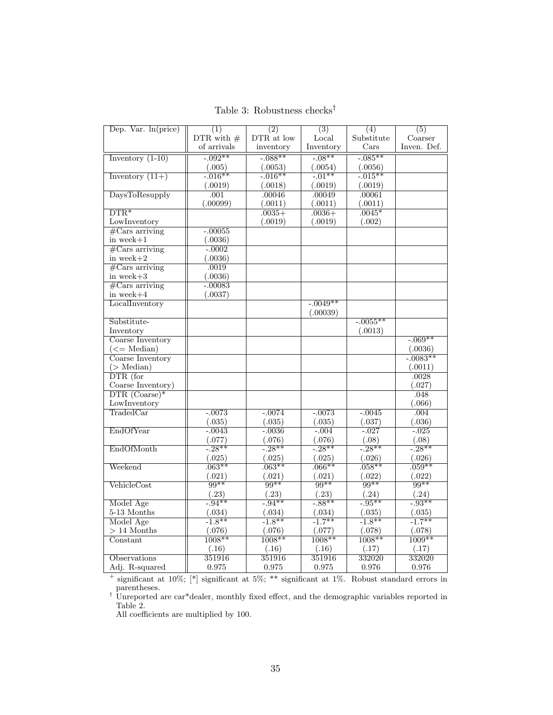|  | Table 3: Robustness checks <sup>†</sup> |  |
|--|-----------------------------------------|--|
|--|-----------------------------------------|--|

| Dep. Var. $ln(price)$               | (1)          | (2)        | $\overline{(3)}$         | (4)                    | (5)                    |
|-------------------------------------|--------------|------------|--------------------------|------------------------|------------------------|
|                                     | DTR with $#$ | DTR at low | Local                    | Substitute             | Coarser                |
|                                     | of arrivals  | inventory  | Inventory                | $\operatorname{Cars}$  | Inven. Def.            |
| Inventory $(1-10)$                  | $-0.092**$   | $-0.088**$ | $-08**$                  | $-0.085**$             |                        |
|                                     | (.005)       | (.0053)    |                          | (.0056)                |                        |
| Inventory $(11+)$                   | $-0.016**$   | $-0.016**$ | $\frac{(.0054)}{-.01**}$ | $-0.015**$             |                        |
|                                     | (.0019)      | (.0018)    | (.0019)                  | (.0019)                |                        |
| DaysToResupply                      | .001         | .00046     | .00049                   | .00061                 |                        |
|                                     | (.00099)     | (.0011)    | (.0011)                  | (.0011)                |                        |
| $DTR*$                              |              | $.0035+$   | $.0036+$                 | $.0045*$               |                        |
| LowInventory                        |              | (.0019)    | (.0019)                  | (.002)                 |                        |
| $\#$ Cars arriving                  | $-.00055$    |            |                          |                        |                        |
| in week $+1$                        | (.0036)      |            |                          |                        |                        |
| $\overline{\text{\#Cars arriving}}$ | $-0.0002$    |            |                          |                        |                        |
| in week $+2$                        | (.0036)      |            |                          |                        |                        |
| $#Cars$ arriving                    | .0019        |            |                          |                        |                        |
| in week $+3$                        | (.0036)      |            |                          |                        |                        |
| $\#$ Cars arriving                  | $-.00083$    |            |                          |                        |                        |
| in week $+4$                        | (.0037)      |            |                          |                        |                        |
| LocalInventory                      |              |            | $-0.049**$               |                        |                        |
|                                     |              |            | (.00039)                 |                        |                        |
| Substitute-                         |              |            |                          | $-0.0055**$            |                        |
| Inventory                           |              |            |                          | (.0013)                |                        |
| Coarse Inventory                    |              |            |                          |                        | $-0.069**$             |
| $(<=$ Median $)$                    |              |            |                          |                        | (.0036)                |
| Coarse Inventory                    |              |            |                          |                        | $-0.0083**$            |
| $($ Median $)$                      |              |            |                          |                        | (.0011)                |
| $\overline{\text{DTR (for)}}$       |              |            |                          |                        | .0028                  |
| Coarse Inventory)                   |              |            |                          |                        | (.027)                 |
| $\overline{\text{DTR (Coarse)}}$    |              |            |                          |                        | .048                   |
| LowInventory                        |              |            |                          |                        | (.066)                 |
| TradedCar                           | $-.0073$     | $-.0074$   | $-.0073$                 | $-.0045$               | .004                   |
|                                     | (.035)       | (.035)     | (.035)                   | (.037)                 | (.036)                 |
| EndOfYear                           | $-0.0043$    | $-0.0036$  | $-0.004$                 | $-0.027$               | $-0.025$               |
|                                     | (.077)       | (.076)     | (.076)                   | $\frac{(.08)}{-.28**}$ | $\frac{(.08)}{-.28**}$ |
| EndOfMonth                          | $-28**$      | $-28**$    | $-28**$                  |                        |                        |
|                                     | (.025)       | (.025)     | (.025)                   | (.026)                 | (.026)                 |
| Weekend                             | $.063**$     | $.063**$   | $.066**$                 | $.058**$               | $.059**$               |
|                                     | (.021)       | (.021)     | (.021)                   | (.022)                 | (.022)                 |
| VehicleCost                         | $99**$       | $99**$     | $99**$                   | $99**$                 | $99**$                 |
|                                     | (.23)        | (.23)      | (.23)                    | (.24)                  | (.24)                  |
| Model Age                           | $-0.94**$    | $-0.94**$  | $-88**$                  | $-95**$                | $-93**$                |
| $5-13$ Months                       | (.034)       | (.034)     | (.034)                   | (.035)                 | (.035)                 |
| Model Age                           | $-1.8**$     | $-1.8**$   | $-1.7**$                 | $-1.8**$               | $-1.7***$              |
| $> 14$ Months                       | (.076)       | (.076)     | (.077)                   | (.078)                 | (.078)                 |
| Constant                            | $1008**$     | $1008**$   | $1008**$                 | $1008**$               | $1009**$               |
|                                     | (.16)        | (.16)      | (.16)                    | (.17)                  | (.17)                  |
| Observations                        | 351916       | 351916     | 351916                   | 332020                 | 332020                 |
| Adj. R-squared                      | 0.975        | 0.975      | 0.975                    | 0.976                  | 0.976                  |

<sup>+</sup> significant at 10%; [\*] significant at 5%; \*\* significant at 1%. Robust standard errors in parentheses.

† Unreported are car\*dealer, monthly fixed effect, and the demographic variables reported in Table 2.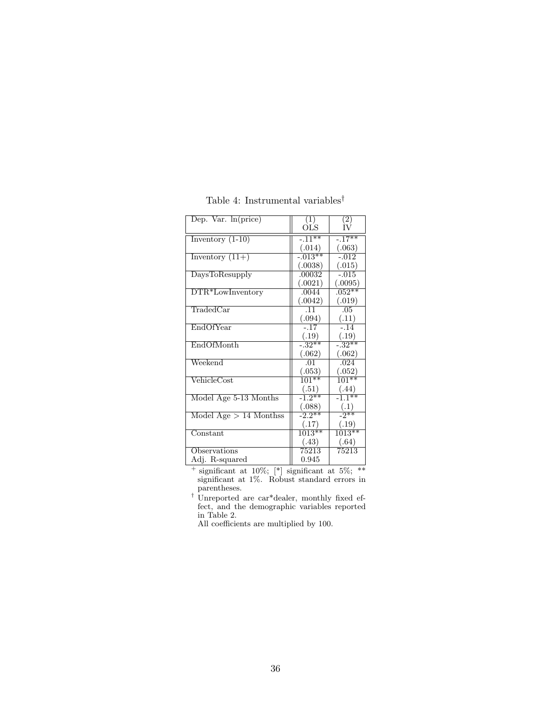| Dep. Var. $ln(price)$        | (1)         | (2)                 |
|------------------------------|-------------|---------------------|
|                              | OLS         | TV                  |
| Inventory $(1-10)$           | $-11**$     | $-.17**$            |
|                              | (.014)      | (.063)              |
| Inventory $(11+)$            | $-0.013***$ | $-.012$             |
|                              | (.0038)     | (.015)              |
| DaysToResupply               | .00032      | $-.015$             |
|                              | (.0021)     | (.0095)             |
| DTR*LowInventory             | .0044       | $.052***$           |
|                              | (.0042)     | (.019)              |
| TradedCar                    | .11         | .05                 |
|                              | (.094)      | (.11)               |
| EndOfYear                    | $-.17$      | $-.14$              |
|                              | (.19)       | (.19)               |
| EndOfMonth                   | $-32**$     | $-.32**$            |
|                              | (.062)      | (.062)              |
| Weekend                      | .01         | .024                |
|                              | (.053)      | (.052)              |
| $\rm VehicleCost$            | $101**$     | $101***$            |
|                              | (.51)       | (.44)               |
| Model Age 5-13 Months        | $-1.2**$    | $-11$ <sup>**</sup> |
|                              | (.088)      | (.1)                |
| Model Age $> 14$ Monthss     | $-2.2***$   | $-2**$              |
|                              | (.17)       | (.19)               |
| $\overline{\text{Constant}}$ | $1013**$    | $1013***$           |
|                              | (.43)       | (.64)               |
| Observations                 | 75213       | 75213               |
| Adj. R-squared               | 0.945       |                     |

Table 4: Instrumental variables $^\dagger$ 

 $^+$  significant at 10%;  $[*]$  significant at 5%; \*\* significant at 1%. Robust standard errors in parentheses.

† Unreported are car\*dealer, monthly fixed effect, and the demographic variables reported in Table 2.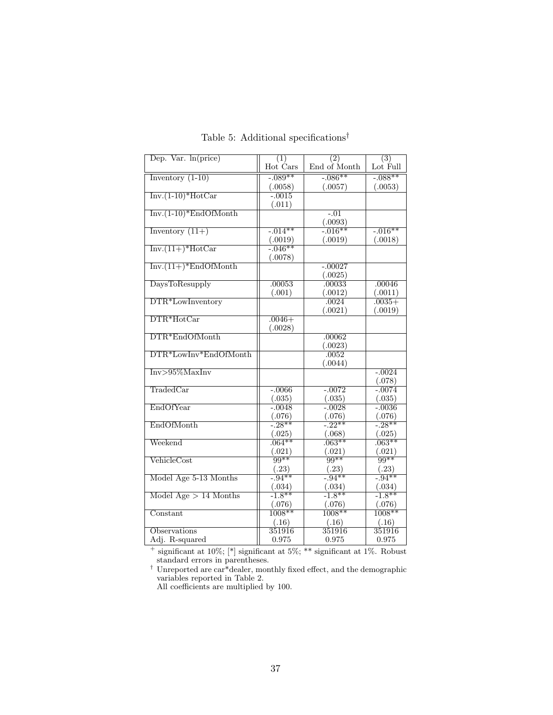| Dep. Var. $ln(price)$               | (1)                | (2)                       | $\overline{(3)}$    |
|-------------------------------------|--------------------|---------------------------|---------------------|
|                                     | Hot Cars           | End of Month              | Lot Full            |
| Inventory $(1-10)$                  | $-089**$           | $-0.086**$                | $-0.088**$          |
|                                     | (.0058)            | (.0057)                   | (.0053)             |
| $Inv.(1-10)*HotCar$                 | $-.0015$           |                           |                     |
|                                     | (.011)             |                           |                     |
| $Inv.(1-10)*EndOfMonth$             |                    | $-.01$                    |                     |
|                                     |                    | $\frac{(.0093)}{-.016**}$ |                     |
| Inventory $(11+)$                   | $-0.014**$         |                           | $-0.016**$          |
|                                     | (.0019)            | (.0019)                   | (.0018)             |
| $Inv.(11+) * HotCar$                | $-0.046**$         |                           |                     |
|                                     | (.0078)            |                           |                     |
| $Inv.(11+)$ <sup>*</sup> EndOfMonth |                    | $-.00027$                 |                     |
|                                     |                    | (.0025)                   |                     |
| <b>DaysToResupply</b>               | .00053             | .00033                    | .00046              |
| DTR*LowInventory                    | (.001)             | (.0012)                   | (.0011)<br>$.0035+$ |
|                                     |                    | .0024<br>(.0021)          | (.0019)             |
| $\text{DTR*HotCar}$                 | $.0046+$           |                           |                     |
|                                     | (.0028)            |                           |                     |
| DTR*EndOfMonth                      |                    | .00062                    |                     |
|                                     |                    | (.0023)                   |                     |
| DTR*LowInv*EndOfMonth               |                    | .0052                     |                     |
|                                     |                    | (.0044)                   |                     |
| $Inv>95\%MaxInv$                    |                    |                           | $-.0024$            |
|                                     |                    |                           | (.078)              |
| TradedCar                           | $-0.0066$          | $-0.0072$                 | $-.0074$            |
|                                     | (.035)             | (.035)                    | (.035)              |
| EndOfYear                           | $-.0048$           | $-.0028$                  | $-.0036$            |
|                                     | (.076)             | (.076)                    | (.076)              |
| EndOfMonth                          | $-0.28**$          | $-22**$                   | $-28**$             |
|                                     | (.025)             | (.068)                    | (.025)              |
| Weekend                             | $.064**$           | $.063**$                  | $.063**$            |
|                                     | (.021)             | (.021)                    | (.021)              |
| VehicleCost                         | $99**$             | $99**$                    | $99**$              |
|                                     | (.23)              | (.23)                     | (.23)               |
| Model Age 5-13 Months               | $-0.94**$          | $-0.94**$                 | $-0.94**$           |
| Model Age $> 14$ Months             | (.034)<br>$-1.8**$ | (.034)<br>$-1.8**$        | (.034)<br>$-1.8**$  |
|                                     |                    |                           |                     |
| Constant                            | (.076)<br>$1008**$ | (.076)<br>$1008**$        | (.076)<br>$1008**$  |
|                                     | (.16)              | (.16)                     | (.16)               |
| Observations                        | 351916             | 351916                    | 351916              |
| Adj. R-squared                      | 0.975              | 0.975                     | 0.975               |
|                                     |                    |                           |                     |

Table 5: Additional specifications<br> $^\dagger$ 

 $+$  significant at 10%;  $[*]$  significant at 5%; \*\* significant at 1%. Robust standard errors in parentheses.

† Unreported are car\*dealer, monthly fixed effect, and the demographic variables reported in Table 2.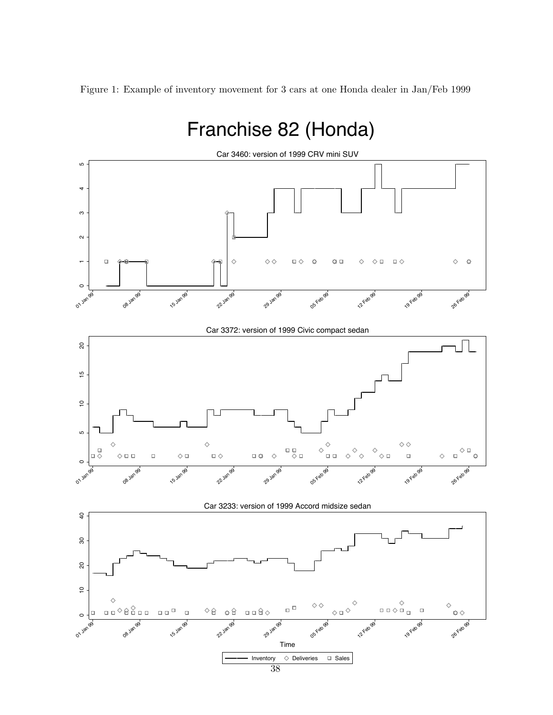Figure 1: Example of inventory movement for 3 cars at one Honda dealer in Jan/Feb 1999

# Franchise 82 (Honda)

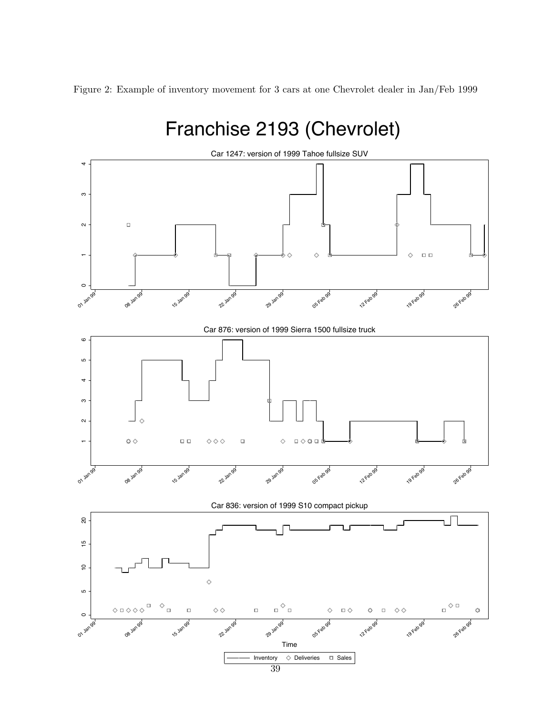Figure 2: Example of inventory movement for 3 cars at one Chevrolet dealer in Jan/Feb 1999

#### Franchise 2193 (Chevrolet) Car 1247: version of 1999 Tahoe fullsize SUV  $1$   $2$   $2$   $1$  $\mathfrak{S}$  $\Box$  $\overline{\mathsf{N}}$  $\Diamond$  $\square$   $\square$  $\circ$ 22 Jan 99 05 Feb 99 26Feb 99 08 Jan 99 **15 Jan 99** 29 Jan 99 12Feb 99 **19 Feb 99** 01 Jan 99 Car 876: version of 1999 Sierra 1500 fullsize truck  $\circ$  $1$  3 4 5 6 LO  $\downarrow$ ო  $\sim$  $\ddot{\Phi} \diamond$  $\square$   $\square$  $\diamond \diamond \diamond$  $\Box$  $\Box \diamondsuit \bullet \Box$  $\Diamond$ "**15 Jan 98 22 Jan 99** 29 Jan 99 05-Feb 99 **12 Feb 99** 19 Feb 99 26 Feb 99 01 Jan 99 08 Jan 99 Car 836: version of 1999 S10 compact pickup  $\rm{g}$ ப  $0 \qquad 10 \qquad 15 \qquad 20$  $\frac{6}{1}$  $\overline{c}$  $\Diamond$ LO  $\Box$ math>  $\Diamond$  $_\Box \diamondsuit$   $_\Box$  $\Box$  $\diamondsuit \Box \diamondsuit \diamondsuit$  $\Box$  $\Box$  $\diamondsuit$  $\Box$  $\Diamond$  $\square$ <br/> $\diamondsuit$  $\hat{Q}$  $\Box$  $\diamond \diamond$  $\ddot{\circ}$  $\circ$ 29 Jan 99 **19 Feb 99** 26Feb99 **15** Jan 98 05 Feb 99 12Feb 98  $\mathcal{U}^{\text{Jar}}$ 01 Jan 95 08 yan Time Inventory  $\Diamond$  Deliveries  $\Box$  Sales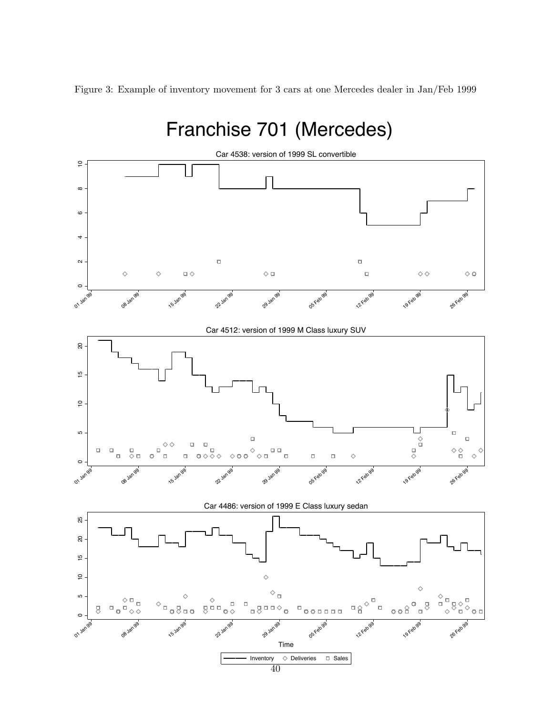Figure 3: Example of inventory movement for 3 cars at one Mercedes dealer in Jan/Feb 1999

## Franchise 701 (Mercedes)

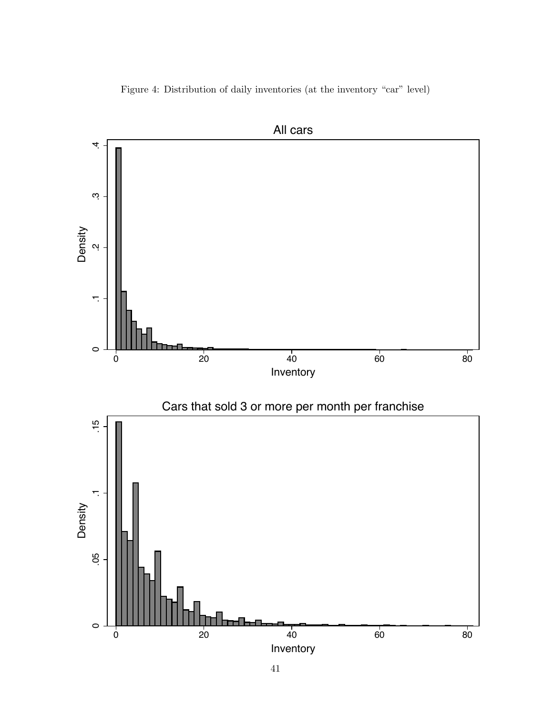Figure 4: Distribution of daily inventories (at the inventory "car" level)



41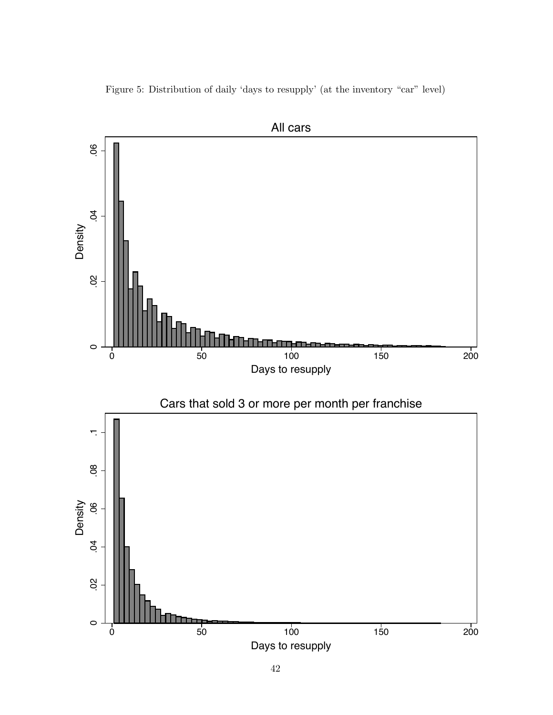Figure 5: Distribution of daily 'days to resupply' (at the inventory "car" level)

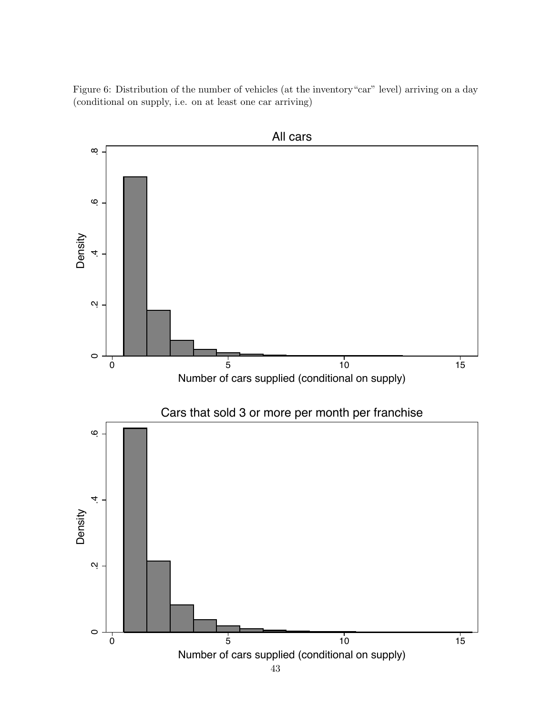Figure 6: Distribution of the number of vehicles (at the inventory"car" level) arriving on a day (conditional on supply, i.e. on at least one car arriving)



43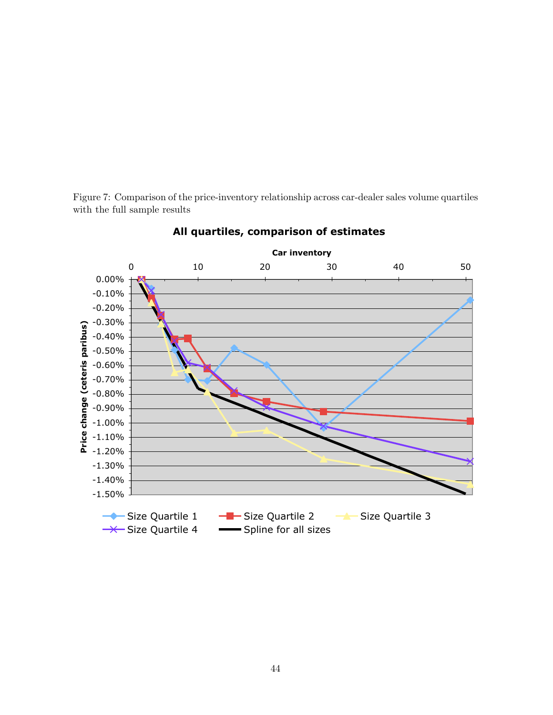Figure 7: Comparison of the price-inventory relationship across car-dealer sales volume quartiles with the full sample results



## **All quartiles, comparison of estimates**